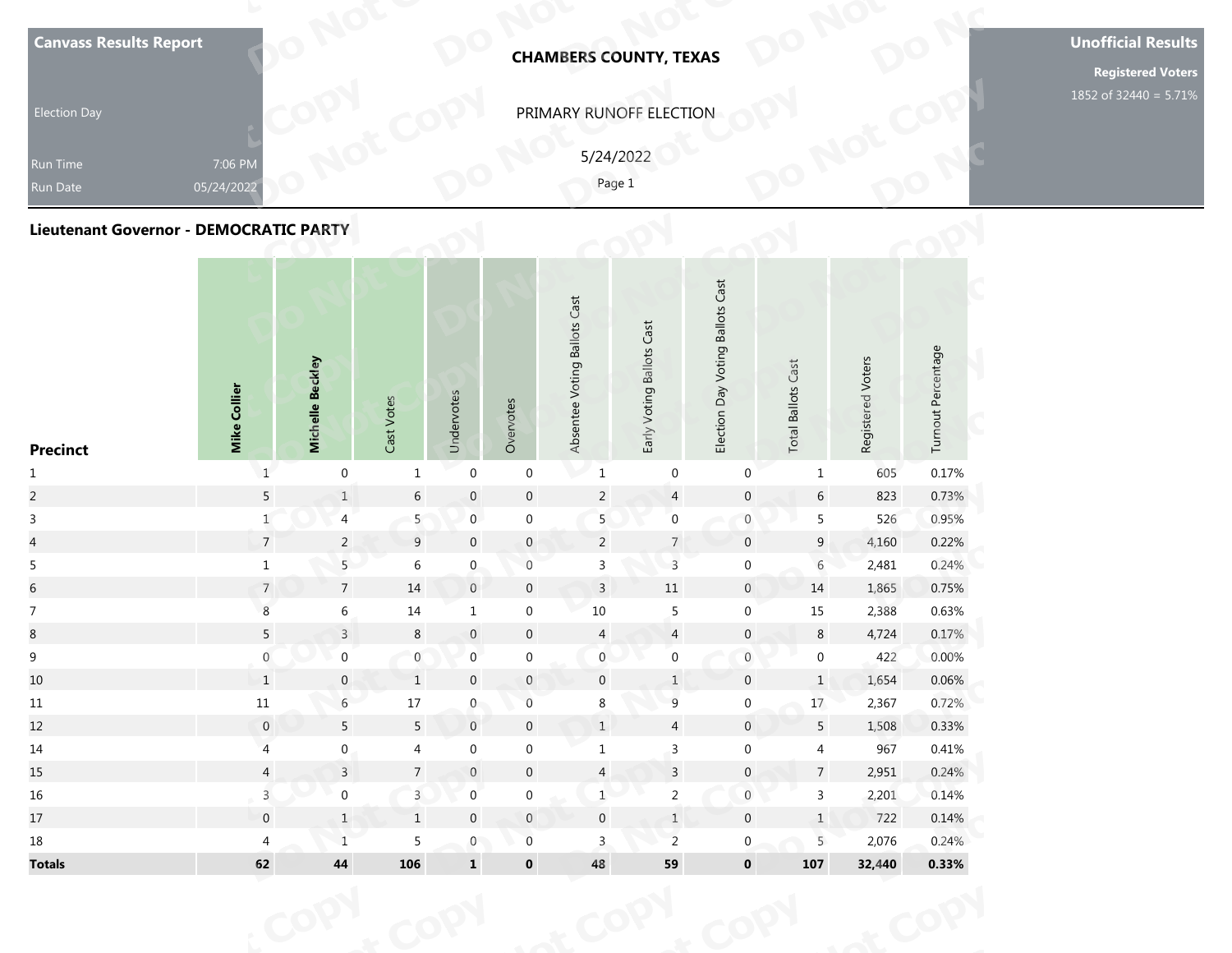| <b>Canvass Results Report</b>                             |                       |                  |            |            |           |                              | <b>CHAMBERS COUNTY, TEXAS</b>                  |                                  |                           |                   |                    | <b>Unofficial Results</b><br><b>Registered Voters</b> |
|-----------------------------------------------------------|-----------------------|------------------|------------|------------|-----------|------------------------------|------------------------------------------------|----------------------------------|---------------------------|-------------------|--------------------|-------------------------------------------------------|
| <b>Election Day</b><br><b>Run Time</b><br>Run Date        | 7:06 PM<br>05/24/2022 |                  |            |            |           |                              | PRIMARY RUNOFF ELECTION<br>5/24/2022<br>Page 1 |                                  |                           |                   |                    | 1852 of 32440 = 5.71%                                 |
| Lieutenant Governor - DEMOCRATIC PARTY<br><b>Precinct</b> | Mike Collier          | Michelle Beckley | Cast Votes | Undervotes | Overvotes | Absentee Voting Ballots Cast | Early Voting Ballots Cast                      | Election Day Voting Ballots Cast | <b>Total Ballots Cast</b> | Registered Voters | Turnout Percentage |                                                       |

| <b>Canvass Results Report</b>                 |                         |                  |                 |                  |                  |                              | <b>CHAMBERS COUNTY, TEXAS</b> |                                  |                           |                   |                    | <b>Unoffic</b><br>Regi |
|-----------------------------------------------|-------------------------|------------------|-----------------|------------------|------------------|------------------------------|-------------------------------|----------------------------------|---------------------------|-------------------|--------------------|------------------------|
| <b>Election Day</b>                           |                         |                  |                 |                  |                  |                              | PRIMARY RUNOFF ELECTION       |                                  |                           |                   |                    | 1852 of 3              |
| Run Time<br>Run Date                          | 7:06 PM<br>05/24/2022   |                  |                 |                  |                  |                              | 5/24/2022<br>Page 1           |                                  |                           |                   |                    |                        |
| <b>Lieutenant Governor - DEMOCRATIC PARTY</b> |                         |                  |                 |                  |                  |                              |                               |                                  |                           |                   |                    |                        |
| <b>Precinct</b>                               | Mike Collier            | Michelle Beckley | Cast Votes      | Undervotes       | Overvotes        | Absentee Voting Ballots Cast | Early Voting Ballots Cast     | Election Day Voting Ballots Cast | <b>Total Ballots Cast</b> | Registered Voters | Turnout Percentage |                        |
| $\mathbf{1}$                                  | $\mathbf 1$             | $\mathbf 0$      | $\mathbf{1}$    | $\boldsymbol{0}$ | $\boldsymbol{0}$ | $1\,$                        | $\pmb{0}$                     | 0                                | $\mathbf{1}$              | 605               | 0.17%              |                        |
| $\overline{a}$                                | $\overline{5}$          | $1\,$            | $\sqrt{6}$      | $\mathbf 0$      | $\mathbf 0$      | $\overline{c}$               | $\overline{4}$                | $\boldsymbol{0}$                 | $\sqrt{6}$                | 823               | 0.73%              |                        |
| $\overline{3}$                                | $\mathbf 1$             | 4                | 5 <sub>1</sub>  | $\mathbf{0}$     | $\boldsymbol{0}$ | 5                            | $\boldsymbol{0}$              | $\boldsymbol{0}$                 | 5                         | 526               | 0.95%              |                        |
| $\overline{\mathcal{L}}$                      | $\overline{7}$          | $\overline{2}$   | 9               | $\boldsymbol{0}$ | $\pmb{0}$        | $\overline{2}$               | $\overline{7}$                | $\overline{0}$                   | $9\phantom{.0}$           | 4,160             | 0.22%              |                        |
| $\overline{5}$                                | $\mathbf 1$             | 5 <sup>1</sup>   | $\,$ 6 $\,$     | $\mathbf{0}$     | $\boldsymbol{0}$ | $\mathsf 3$                  | $\overline{3}$                | $\boldsymbol{0}$                 | $\rm 6$                   | 2,481             | 0.24%              |                        |
| $\sqrt{6}$                                    | $\overline{7}$          | $7\overline{ }$  | $14\,$          | $\,0\,$          | $\pmb{0}$        | $\overline{3}$               | $11\,$                        | $\overline{0}$                   | $14\,$                    | 1,865             | 0.75%              |                        |
| $\overline{7}$                                | $\boldsymbol{8}$        | $\,$ 6 $\,$      | $14\,$          | $\mathbf{1}$     | $\boldsymbol{0}$ | $10\,$                       | 5                             | $\boldsymbol{0}$                 | $15\,$                    | 2,388             | 0.63%              |                        |
| $\,8\,$                                       | $5\phantom{.0}$         | $\mathsf{3}$     | $\,8\,$         | $\boldsymbol{0}$ | $\pmb{0}$        | $\overline{4}$               | $\overline{4}$                | $\mathsf{O}\xspace$              | $\,8\,$                   | 4,724             | 0.17%              |                        |
| $\boldsymbol{9}$                              | $\boldsymbol{0}$        | $\boldsymbol{0}$ | $\mathbf{0}$    | $\boldsymbol{0}$ | $\boldsymbol{0}$ | $\boldsymbol{0}$             | $\boldsymbol{0}$              | $\mathbf 0$                      | $\boldsymbol{0}$          | 422               | 0.00%              |                        |
| 10                                            | $\mathbf{1}$            | $\mathbf{0}$     | $\mathbf{1}$    | $\mathbf{0}$     | $\mathbf{0}$     | $\mathbf 0$                  | $\mathbf{1}$                  | $\overline{0}$                   | $\mathbf{1}$              | 1,654             | 0.06%              |                        |
| $11\,$                                        | $11\,$                  | $6\overline{6}$  | $17\,$          | $\mathbf{0}$     | $\,0\,$          | $\bf 8$                      | $\boldsymbol{9}$              | $\boldsymbol{0}$                 | 17                        | 2,367             | 0.72%              |                        |
| 12                                            | $\boldsymbol{0}$        | $5\phantom{.0}$  | $5\phantom{.0}$ | $\boldsymbol{0}$ | $\pmb{0}$        | $\mathbf{1}$                 | $\overline{4}$                | $\pmb{0}$                        | $5\phantom{.0}$           | 1,508             | 0.33%              |                        |
| 14                                            | $\overline{4}$          | $\boldsymbol{0}$ | $\overline{4}$  | $\boldsymbol{0}$ | $\boldsymbol{0}$ | $\mathbf{1}$                 | $\mathsf{3}$                  | $\mathbf 0$                      | $\overline{4}$            | 967               | 0.41%              |                        |
| 15                                            | $\overline{4}$          | $\overline{3}$   | $\sqrt{ }$      | $\boldsymbol{0}$ | $\pmb{0}$        | $\overline{4}$               | $\overline{\mathbf{3}}$       | $\pmb{0}$                        | $7\overline{ }$           | 2,951             | 0.24%              |                        |
| 16                                            | $\overline{\mathbf{3}}$ | $\boldsymbol{0}$ | $\overline{3}$  | $\boldsymbol{0}$ | $\boldsymbol{0}$ | $1\,$                        | $\overline{a}$                | $\mathbf 0$                      | $\mathbf{3}$              | 2,201             | 0.14%              |                        |
| 17                                            | $\pmb{0}$               | $1\,$            | $1\,$           | $\boldsymbol{0}$ | $\mathsf{O}$     | $\pmb{0}$                    | $\ensuremath{\mathsf{1}}$     | $\pmb{0}$                        | $\mathbf{1}$              | 722               | 0.14%              |                        |
| $18\,$                                        | $\overline{4}$          | $\mathbf{1}$     | $\sqrt{5}$      | $\mathbf 0$      | $\boldsymbol{0}$ | $\mathbf{3}$                 | $\overline{c}$                | $\overline{0}$                   | 5                         | 2,076             | 0.24%              |                        |
| <b>Totals</b>                                 | 62                      | ${\bf 44}$       | 106             | $\mathbf 1$      | $\mathbf 0$      | 48                           | 59                            | $\mathbf 0$                      | 107                       | 32,440            | 0.33%              |                        |
|                                               |                         |                  |                 |                  |                  |                              |                               |                                  |                           |                   |                    |                        |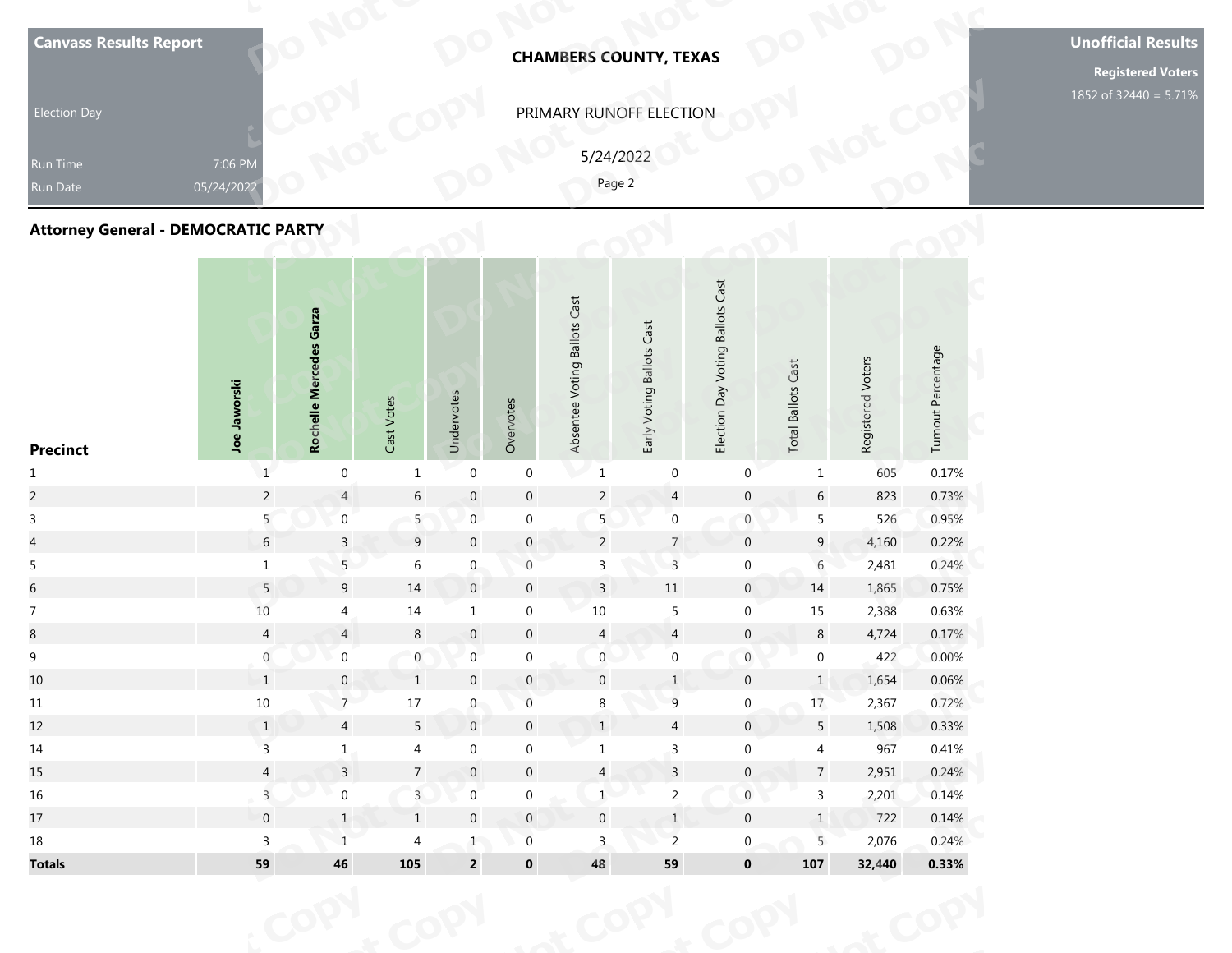| <b>Canvass Results Report</b><br><b>Election Day</b><br>Run Time<br>Run Date | 7:06 PM<br>05/24/2022 |                         |       |            |           |                              | <b>CHAMBERS COUNTY, TEXAS</b><br>PRIMARY RUNOFF ELECTION<br>5/24/2022<br>Page 2 |                                  |                           |                   |                    | <b>Unofficial Results</b><br><b>Registered Voters</b><br>1852 of 32440 = 5.71% |
|------------------------------------------------------------------------------|-----------------------|-------------------------|-------|------------|-----------|------------------------------|---------------------------------------------------------------------------------|----------------------------------|---------------------------|-------------------|--------------------|--------------------------------------------------------------------------------|
| <b>Attorney General - DEMOCRATIC PARTY</b>                                   |                       |                         |       |            |           |                              |                                                                                 |                                  |                           |                   |                    |                                                                                |
|                                                                              | Jaworski              | Rochelle Mercedes Garza | Votes | Undervotes | Overvotes | Absentee Voting Ballots Cast | Early Voting Ballots Cast                                                       | Election Day Voting Ballots Cast | <b>Total Ballots Cast</b> | Registered Voters | Turnout Percentage |                                                                                |

| <b>Canvass Results Report</b>              |                       |                         |                  |                  |                  |                              | <b>CHAMBERS COUNTY, TEXAS</b> |                  |                                  |                           |                   |                    | <b>Unoffic</b><br>Regi |
|--------------------------------------------|-----------------------|-------------------------|------------------|------------------|------------------|------------------------------|-------------------------------|------------------|----------------------------------|---------------------------|-------------------|--------------------|------------------------|
| <b>Election Day</b>                        |                       |                         |                  |                  |                  |                              | PRIMARY RUNOFF ELECTION       |                  |                                  |                           |                   |                    | 1852 of 3              |
| <b>Run Time</b><br>Run Date                | 7:06 PM<br>05/24/2022 |                         |                  |                  |                  |                              | 5/24/2022<br>Page 2           |                  |                                  |                           |                   |                    |                        |
| <b>Attorney General - DEMOCRATIC PARTY</b> |                       |                         |                  |                  |                  |                              |                               |                  |                                  |                           |                   |                    |                        |
| <b>Precinct</b>                            | Joe Jaworski          | Rochelle Mercedes Garza | Cast Votes       | Undervotes       | Overvotes        | Absentee Voting Ballots Cast | Early Voting Ballots Cast     |                  | Election Day Voting Ballots Cast | <b>Total Ballots Cast</b> | Registered Voters | Turnout Percentage |                        |
| $\mathbf{1}$                               | $\mathbf{1}$          | $\boldsymbol{0}$        | $\mathbf{1}$     | $\boldsymbol{0}$ | $\boldsymbol{0}$ | $\mathbf 1$                  |                               | $\boldsymbol{0}$ | $\boldsymbol{0}$                 | $\mathbf{1}$              | 605               | 0.17%              |                        |
| $\overline{a}$                             | $\overline{c}$        | $\overline{4}$          | $\sqrt{6}$       | $\,0\,$          | $\mathbf 0$      | $\sqrt{2}$                   |                               | $\overline{4}$   | $\mathbf 0$                      | $\sqrt{6}$                | 823               | 0.73%              |                        |
| $\mathsf{3}$                               | 5                     | $\overline{0}$          | 5 <sub>5</sub>   | $\overline{0}$   | $\boldsymbol{0}$ | 5                            |                               | $\boldsymbol{0}$ | $\boldsymbol{0}$                 | $\overline{5}$            | 526               | 0.95%              |                        |
| $\overline{a}$                             | $\sqrt{6}$            | $\overline{3}$          | $\overline{9}$   | $\,0\,$          | $\pmb{0}$        | $\overline{2}$               |                               | $\overline{7}$   | $\mathbf 0$                      | $\overline{9}$            | 4,160             | 0.22%              |                        |
| $\overline{5}$                             | $\mathbf 1$           | 5 <sup>1</sup>          | $\,$ 6 $\,$      | $\mathbf 0$      | $\boldsymbol{0}$ | $\mathsf{3}$                 |                               | $\overline{3}$   | $\boldsymbol{0}$                 | $\overline{6}$            | 2,481             | 0.24%              |                        |
| $\sqrt{6}$                                 | $\overline{5}$        | 9                       | $14\,$           | $\,0\,$          | $\mathbf 0$      | $\overline{3}$               | $11\,$                        |                  | $\overline{0}$                   | 14                        | 1,865             | 0.75%              |                        |
| $\boldsymbol{7}$                           | $10$                  | $\overline{4}$          | 14               | $\mathbf{1}$     | $\boldsymbol{0}$ | 10                           |                               | $\sqrt{5}$       | $\boldsymbol{0}$                 | 15                        | 2,388             | 0.63%              |                        |
| $8\,$                                      | $\overline{4}$        | $\overline{4}$          | $\,8\,$          | $\boldsymbol{0}$ | $\boldsymbol{0}$ | $\overline{4}$               |                               | $\overline{4}$   | $\boldsymbol{0}$                 | $\,8\,$                   | 4,724             | 0.17%              |                        |
| $\boldsymbol{9}$                           | $\boldsymbol{0}$      | $\boldsymbol{0}$        | $\boldsymbol{0}$ | $\boldsymbol{0}$ | $\boldsymbol{0}$ | $\mathbf 0$                  |                               | $\boldsymbol{0}$ | $\boldsymbol{0}$                 | $\boldsymbol{0}$          | 422               | 0.00%              |                        |
| 10                                         | 1                     | $\mathbf{0}$            | $\mathbf{1}$     | $\mathbf 0$      | $\mathbf{0}$     | $\mathbf 0$                  |                               | $\mathbf{1}$     | $\mathbf 0$                      | $\mathbf{1}$              | 1,654             | 0.06%              |                        |
| $11\,$                                     | $10\,$                | 7 <sup>7</sup>          | $17\,$           | $\overline{0}$   | $\boldsymbol{0}$ | 8                            |                               | $\overline{9}$   | $\boldsymbol{0}$                 | $17\,$                    | 2,367             | 0.72%              |                        |
| 12                                         | $\,1$                 | $\overline{4}$          | $5\phantom{.0}$  | $\,0\,$          | $\pmb{0}$        | $\,$ 1 $\,$                  |                               | $\overline{4}$   | $\overline{0}$                   | $5\phantom{.0}$           | 1,508             | 0.33%              |                        |
| 14                                         | $\overline{3}$        | $\mathbf{1}$            | $\overline{4}$   | $\boldsymbol{0}$ | $\boldsymbol{0}$ | $\mathbf{1}$                 |                               | $\mathsf{3}$     | $\boldsymbol{0}$                 | $\overline{4}$            | 967               | 0.41%              |                        |
| 15                                         | $\overline{4}$        | $\mathbf{3}$            | $\sqrt{7}$       | $\boldsymbol{0}$ | $\pmb{0}$        | $\overline{a}$               |                               | $\overline{3}$   | $\boldsymbol{0}$                 | $\sqrt{7}$                | 2,951             | 0.24%              |                        |
| 16                                         | $\overline{3}$        | $\boldsymbol{0}$        | $\overline{3}$   | $\mathbf 0$      | $\boldsymbol{0}$ | $1 \cdot$                    |                               | $\overline{a}$   | $\mathbf 0$                      | $\mathsf{3}$              | 2,201             | 0.14%              |                        |
| 17                                         | $\mathbf 0$           | $\,1$                   | $\,1\,$          | $\boldsymbol{0}$ | $\mathsf{O}$     | $\mathbf 0$                  |                               | $1\,$            | $\boldsymbol{0}$                 | $\mathbf 1$               | 722               | 0.14%              |                        |
| 18                                         | $\overline{3}$        | $\overline{1}$          | $\overline{4}$   | $1$ $\,$         | $\boldsymbol{0}$ | $\mathbf{3}$                 |                               | $\overline{2}$   | $\overline{0}$                   | 5                         | 2,076             | 0.24%              |                        |
| <b>Totals</b>                              | 59                    | 46                      | 105              | $\mathbf 2$      | $\mathbf 0$      | 48                           | 59                            |                  | $\mathbf 0$                      | 107                       | 32,440            | 0.33%              |                        |
|                                            |                       |                         |                  |                  |                  |                              |                               |                  |                                  |                           |                   |                    |                        |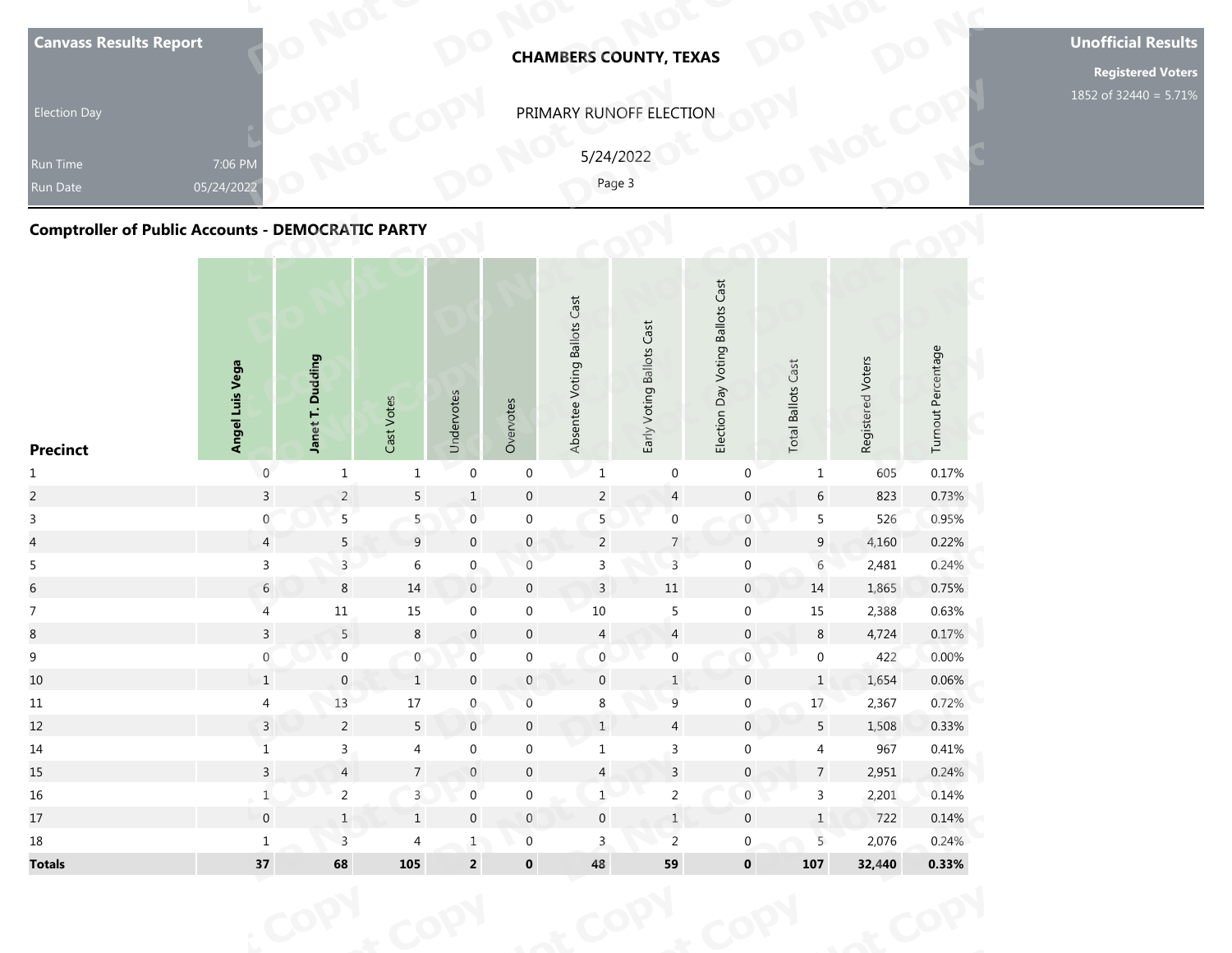| <b>Election Day</b><br>Run Time<br>Run Date<br><b>Comptroller of Public Accounts - DEMOCRATIC PARTY</b> | 7:06 PM<br>05/24/2022 |                  |                            |            |           |                              | PRIMARY RUNOFF ELECTION<br>5/24/2022<br>Page 3 |                                     |                              |                   |                    | <b>Registered Voters</b><br>1852 of 32440 = 5.71% |
|---------------------------------------------------------------------------------------------------------|-----------------------|------------------|----------------------------|------------|-----------|------------------------------|------------------------------------------------|-------------------------------------|------------------------------|-------------------|--------------------|---------------------------------------------------|
| <b>Precinct</b>                                                                                         | Angel Luis Vega       | Janet T. Dudding | Votes<br>Cast <sup>-</sup> | Undervotes | Overvotes | Absentee Voting Ballots Cast | Early Voting Ballots Cast                      | Day Voting Ballots Cast<br>Election | Cast<br><b>Total Ballots</b> | Registered Voters | Turnout Percentage |                                                   |

| <b>Canvass Results Report</b>                            |                       |                  |                  |                         |                     | <b>CHAMBERS COUNTY, TEXAS</b> |                     |                           |                                  |                           |                   |                    | <b>Unoffic</b><br>Regi |
|----------------------------------------------------------|-----------------------|------------------|------------------|-------------------------|---------------------|-------------------------------|---------------------|---------------------------|----------------------------------|---------------------------|-------------------|--------------------|------------------------|
| <b>Election Day</b>                                      |                       |                  |                  |                         |                     | PRIMARY RUNOFF ELECTION       |                     |                           |                                  |                           |                   |                    | 1852 of 3              |
| <b>Run Time</b><br>Run Date                              | 7:06 PM<br>05/24/2022 |                  |                  |                         |                     |                               | 5/24/2022<br>Page 3 |                           |                                  |                           |                   |                    |                        |
| <b>Comptroller of Public Accounts - DEMOCRATIC PARTY</b> |                       |                  |                  |                         |                     |                               |                     |                           |                                  |                           |                   |                    |                        |
| <b>Precinct</b>                                          | Angel Luis Vega       | Janet T. Dudding | Cast Votes       | Undervotes              | Overvotes           | Absentee Voting Ballots Cast  |                     | Early Voting Ballots Cast | Election Day Voting Ballots Cast | <b>Total Ballots Cast</b> | Registered Voters | Turnout Percentage |                        |
| $\mathbf{1}$                                             | $\mathsf 0$           | $\mathbf{1}$     | $\mathbf{1}$     | $\boldsymbol{0}$        | $\boldsymbol{0}$    | $\mathbf 1$                   |                     | $\boldsymbol{0}$          | $\mathbf 0$                      | $\mathbf{1}$              | 605               | 0.17%              |                        |
| $\overline{a}$                                           | $\overline{3}$        | $\overline{2}$   | $\overline{5}$   | $\,1$                   | $\boldsymbol{0}$    |                               | $\sqrt{2}$          | $\overline{4}$            | $\mathbf 0$                      | $\sqrt{6}$                | 823               | 0.73%              |                        |
| $\mathbf{3}$                                             | $\boldsymbol{0}$      | $\overline{5}$   | 5                | $\boldsymbol{0}$        | $\boldsymbol{0}$    |                               | 5                   | $\boldsymbol{0}$          | $\boldsymbol{0}$                 | $5\phantom{.0}$           | 526               | 0.95%              |                        |
| $\overline{4}$                                           | $\overline{4}$        | 5                | $\overline{9}$   | $\boldsymbol{0}$        | $\boldsymbol{0}$    |                               | $\overline{2}$      | $\overline{7}$            | $\boldsymbol{0}$                 | $9\phantom{.0}$           | 4,160             | 0.22%              |                        |
| 5                                                        | $\mathsf{3}$          | $\overline{3}$   | $\,$ 6 $\,$      | $\boldsymbol{0}$        | $\boldsymbol{0}$    |                               | $\mathsf 3$         | $\overline{3}$            | $\boldsymbol{0}$                 | $\overline{6}$            | 2,481             | 0.24%              |                        |
| $\sqrt{6}$                                               | $\sqrt{6}$            | $\,8\,$          | $14\,$           | $\,0\,$                 | $\boldsymbol{0}$    |                               | $\overline{3}$      | $11\,$                    | $\overline{0}$                   | 14                        | 1,865             | 0.75%              |                        |
| $\overline{7}$                                           | $\overline{a}$        | $11\,$           | $15\,$           | $\boldsymbol{0}$        | $\boldsymbol{0}$    | $10\,$                        |                     | $\overline{5}$            | $\boldsymbol{0}$                 | 15                        | 2,388             | 0.63%              |                        |
| $\bf 8$                                                  | $\mathsf{3}$          | 5                | $\,8\,$          | $\boldsymbol{0}$        | $\boldsymbol{0}$    |                               | $\overline{4}$      | $\overline{4}$            | $\boldsymbol{0}$                 | $\bf 8$                   | 4,724             | 0.17%              |                        |
| 9                                                        | $\overline{0}$        | $\boldsymbol{0}$ | $\boldsymbol{0}$ | $\boldsymbol{0}$        | $\boldsymbol{0}$    |                               | $\boldsymbol{0}$    | $\boldsymbol{0}$          | $\,0\,$                          | $\boldsymbol{0}$          | 422               | 0.00%              |                        |
| 10                                                       | $\mathbf{1}$          | $\mathbf 0$      | $\mathbf{1}$     | $\mathbf 0$             | $\mathbf{0}$        |                               | $\overline{0}$      | $\mathbf{1}$              | $\mathbf{0}$                     | $\mathbf{1}$              | 1,654             | 0.06%              |                        |
| $11\,$                                                   | $\overline{4}$        | $13\,$           | $17\,$           | $\boldsymbol{0}$        | $\,0\,$             |                               | $\bf 8$             | $\overline{9}$            | $\boldsymbol{0}$                 | 17                        | 2,367             | 0.72%              |                        |
| 12                                                       | $\overline{3}$        | $\overline{2}$   | $5\phantom{.0}$  | $\,0\,$                 | $\mathbf 0$         |                               | $\,$ 1 $\,$         | $\overline{4}$            | $\mathsf{O}$                     | $5\phantom{.0}$           | 1,508             | 0.33%              |                        |
| 14                                                       | $\mathbf 1$           | $\overline{3}$   | $\overline{4}$   | $\boldsymbol{0}$        | $\boldsymbol{0}$    |                               | $\mathbf{1}$        | $\overline{3}$            | $\mathbf 0$                      | $\overline{4}$            | 967               | 0.41%              |                        |
| 15                                                       | $\overline{3}$        | $\overline{4}$   | $\sqrt{ }$       | $\boldsymbol{0}$        | $\pmb{0}$           |                               | $\overline{4}$      | $\overline{\mathbf{3}}$   | $\boldsymbol{0}$                 | $\overline{7}$            | 2,951             | 0.24%              |                        |
| $16\,$                                                   | $\mathbf 1$           | $\overline{2}$   | $\overline{3}$   | $\boldsymbol{0}$        | $\boldsymbol{0}$    |                               | $1\,$               | $\overline{2}$            | $\boldsymbol{0}$                 | $\mathbf{3}$              | 2,201             | 0.14%              |                        |
| $17\,$                                                   | $\mathbf 0$           | $\,1\,$          | $\,1$            | $\boldsymbol{0}$        | $\mathsf{O}\xspace$ |                               | $\mathbf 0$         | $\ensuremath{\mathsf{1}}$ | $\boldsymbol{0}$                 | $\,1$                     | 722               | 0.14%              |                        |
| $18\,$                                                   | $\mathbf 1$           | $\overline{3}$   | $\overline{4}$   | $1$ $\,$                | $\boldsymbol{0}$    |                               | $\overline{3}$      | $\overline{c}$            | $\mathbf{0}$                     | 5                         | 2,076             | 0.24%              |                        |
| <b>Totals</b>                                            | 37                    | 68               | 105              | $\overline{\mathbf{c}}$ | $\mathbf 0$         | 48                            |                     | 59                        | $\mathbf 0$                      | 107                       | 32,440            | 0.33%              |                        |
|                                                          |                       |                  |                  |                         |                     |                               |                     |                           |                                  |                           |                   |                    |                        |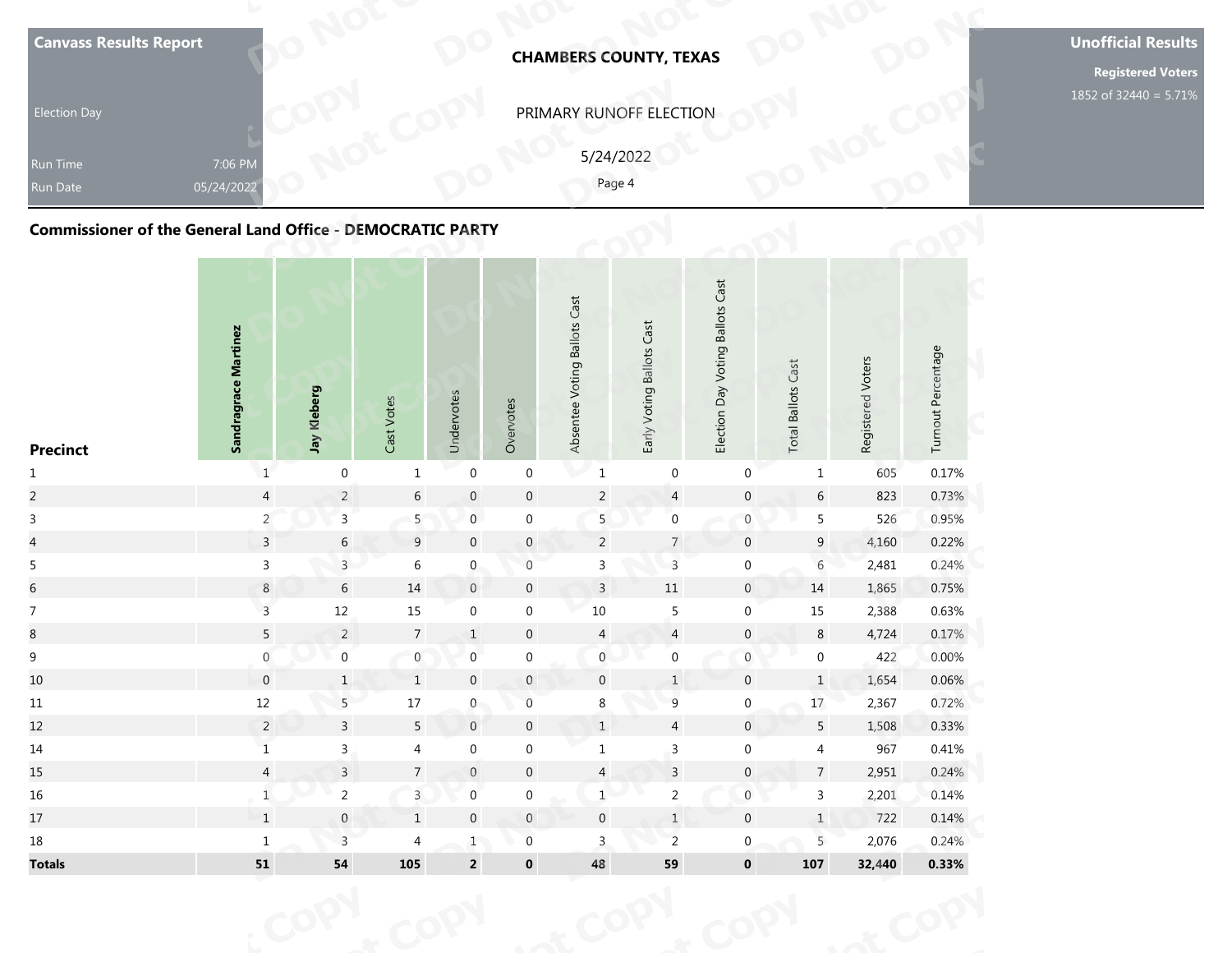| <b>Election Day</b><br><b>Run Time</b><br><b>Run Date</b><br><b>Commissioner of the General Land Office - DEMOCRATIC PARTY</b> | 7:06 PM<br>05/24/2022       |             |                            |            |           |                              | PRIMARY RUNOFF ELECTION<br>5/24/2022<br>Page 4 |                                  |                              |                   |                    | <b>Registered Voters</b><br>1852 of 32440 = 5.71% |
|--------------------------------------------------------------------------------------------------------------------------------|-----------------------------|-------------|----------------------------|------------|-----------|------------------------------|------------------------------------------------|----------------------------------|------------------------------|-------------------|--------------------|---------------------------------------------------|
| <b>Precinct</b>                                                                                                                | <b>Sandragrace Martinez</b> | Jay Kleberg | Votes<br>Cast <sup>-</sup> | Undervotes | Overvotes | Absentee Voting Ballots Cast | Early Voting Ballots Cast                      | Election Day Voting Ballots Cast | Cast<br><b>Total Ballots</b> | Registered Voters | Turnout Percentage |                                                   |

| <b>Canvass Results Report</b>                                     |                           |                  |                 |                         |                  |                              | <b>CHAMBERS COUNTY, TEXAS</b> |                                  |                           |                   |                    | <b>Unoffic</b><br>Regi |
|-------------------------------------------------------------------|---------------------------|------------------|-----------------|-------------------------|------------------|------------------------------|-------------------------------|----------------------------------|---------------------------|-------------------|--------------------|------------------------|
| <b>Election Day</b>                                               |                           |                  |                 |                         |                  |                              | PRIMARY RUNOFF ELECTION       |                                  |                           |                   |                    | 1852 of 3              |
| Run Time<br>Run Date                                              | 7:06 PM<br>05/24/2022     |                  |                 |                         |                  |                              | 5/24/2022<br>Page 4           |                                  |                           |                   |                    |                        |
| <b>Commissioner of the General Land Office - DEMOCRATIC PARTY</b> |                           |                  |                 |                         |                  |                              |                               |                                  |                           |                   |                    |                        |
| <b>Precinct</b>                                                   | Sandragrace Martinez      | Jay Kleberg      | Cast Votes      | Undervotes              | Overvotes        | Absentee Voting Ballots Cast | Early Voting Ballots Cast     | Election Day Voting Ballots Cast | <b>Total Ballots Cast</b> | Registered Voters | Turnout Percentage |                        |
| $\mathbf{1}$                                                      | $1\,$                     | $\boldsymbol{0}$ | $\mathbf{1}$    | $\boldsymbol{0}$        | $\boldsymbol{0}$ | $\mathbf 1$                  | $\pmb{0}$                     | $\pmb{0}$                        | $\mathbf{1}$              | 605               | 0.17%              |                        |
| $\overline{c}$                                                    | $\overline{4}$            | $\overline{2}$   | $\sqrt{6}$      | $\boldsymbol{0}$        | $\mathbf 0$      | $\sqrt{2}$                   | $\overline{4}$                | $\pmb{0}$                        | $\sqrt{6}$                | 823               | 0.73%              |                        |
| $\mathsf{3}$                                                      | $\overline{2}$            | $\mathsf{3}$     | 5 <sub>1</sub>  | $\pmb{0}$               | $\boldsymbol{0}$ | $\overline{5}$               | $\pmb{0}$                     | $\boldsymbol{0}$                 | 5                         | 526               | 0.95%              |                        |
| $\overline{\mathbf{4}}$                                           | $\overline{3}$            | $6\,$            | 9               | $\boldsymbol{0}$        | $\pmb{0}$        | $\overline{2}$               | $\overline{7}$                | $\mathsf{O}\xspace$              | $9\,$                     | 4,160             | 0.22%              |                        |
| 5                                                                 | $\mathbf{3}$              | $\overline{3}$   | 6               | $\boldsymbol{0}$        | $\boldsymbol{0}$ | $\mathsf{3}$                 | $\mathsf{3}$                  | $\boldsymbol{0}$                 | $\overline{6}$            | 2,481             | 0.24%              |                        |
| $\sqrt{6}$                                                        | $\bf 8$                   | 6                | $14\,$          | $\mathsf{O}\xspace$     | $\boldsymbol{0}$ | $\overline{3}$               | $11\,$                        | $\mathsf{O}\xspace$              | 14                        | 1,865             | 0.75%              |                        |
| $\boldsymbol{7}$                                                  | $\overline{3}$            | $12\,$           | $15\,$          | $\boldsymbol{0}$        | $\boldsymbol{0}$ | $10\,$                       | $\sqrt{5}$                    | $\boldsymbol{0}$                 | $15\,$                    | 2,388             | 0.63%              |                        |
| $\bf 8$                                                           | $\overline{5}$            | $\overline{2}$   | $\overline{7}$  | $\mathbf{1}$            | $\boldsymbol{0}$ | $\overline{4}$               | $\overline{a}$                | $\pmb{0}$                        | $\,8\,$                   | 4,724             | 0.17%              |                        |
| $\mathsf 9$                                                       | $\boldsymbol{0}$          | $\boldsymbol{0}$ | $\mathbf{0}$    | $\boldsymbol{0}$        | $\boldsymbol{0}$ | $\mathbf 0$                  | $\boldsymbol{0}$              | $\,0\,$                          | $\boldsymbol{0}$          | 422               | 0.00%              |                        |
| 10                                                                | $\mathbf 0$               | $\mathbf{1}$     | $\mathbf{1}$    | $\mathbf 0$             | $\mathbf{0}$     | $\mathbf 0$                  | 1                             | $\mathbf 0$                      | $\mathbf{1}$              | 1,654             | 0.06%              |                        |
| 11                                                                | $12\,$                    | $5 -$            | $17\,$          | $\mathbf{0}$            | $\,0\,$          | $8\phantom{.}$               | $\overline{9}$                | $\boldsymbol{0}$                 | $17 \,$                   | 2,367             | 0.72%              |                        |
| 12                                                                | $\overline{2}$            | $\overline{3}$   | $5\phantom{.0}$ | $\boldsymbol{0}$        | $\boldsymbol{0}$ | $\,1\,$                      | $\overline{4}$                | $\pmb{0}$                        | $5\phantom{.0}$           | 1,508             | 0.33%              |                        |
| 14                                                                | $\mathbf 1$               | $\overline{3}$   | $\overline{4}$  | $\boldsymbol{0}$        | $\boldsymbol{0}$ | $\mathbf{1}$                 | $\mathsf{3}$                  | $\mathbf 0$                      | $\overline{4}$            | 967               | 0.41%              |                        |
| 15                                                                | $\overline{4}$            | $\overline{3}$   | $\overline{7}$  | $\boldsymbol{0}$        | $\boldsymbol{0}$ | $\overline{a}$               | $\overline{\mathbf{3}}$       | $\mathbf{0}$                     | $\overline{7}$            | 2,951             | 0.24%              |                        |
| 16                                                                | $\ensuremath{\mathsf{1}}$ | $\overline{a}$   | $\overline{3}$  | $\boldsymbol{0}$        | $\boldsymbol{0}$ | $\mathbf 1$                  | $\overline{2}$                | $\boldsymbol{0}$                 | $\mathbf{3}$              | 2,201             | 0.14%              |                        |
| 17                                                                | $\mathbf 1$               | $\mathbf{0}$     | $\,$ 1 $\,$     | $\boldsymbol{0}$        | $\mathbb O$      | $\boldsymbol{0}$             | $\ensuremath{\mathsf{1}}$     | $\pmb{0}$                        | $1\,$                     | 722               | 0.14%              |                        |
| 18                                                                | $\mathbf 1$               | $\overline{3}$   | $\overline{4}$  | 1                       | $\boldsymbol{0}$ | $\overline{3}$               | $\overline{2}$                | $\mathbf{0}$                     | 5                         | 2,076             | 0.24%              |                        |
| <b>Totals</b>                                                     | 51                        | ${\bf 54}$       | 105             | $\overline{\mathbf{c}}$ | $\mathbf 0$      | 48                           | 59                            | $\mathbf 0$                      | 107                       | 32,440            | 0.33%              |                        |
|                                                                   |                           |                  |                 |                         |                  |                              |                               |                                  |                           |                   |                    |                        |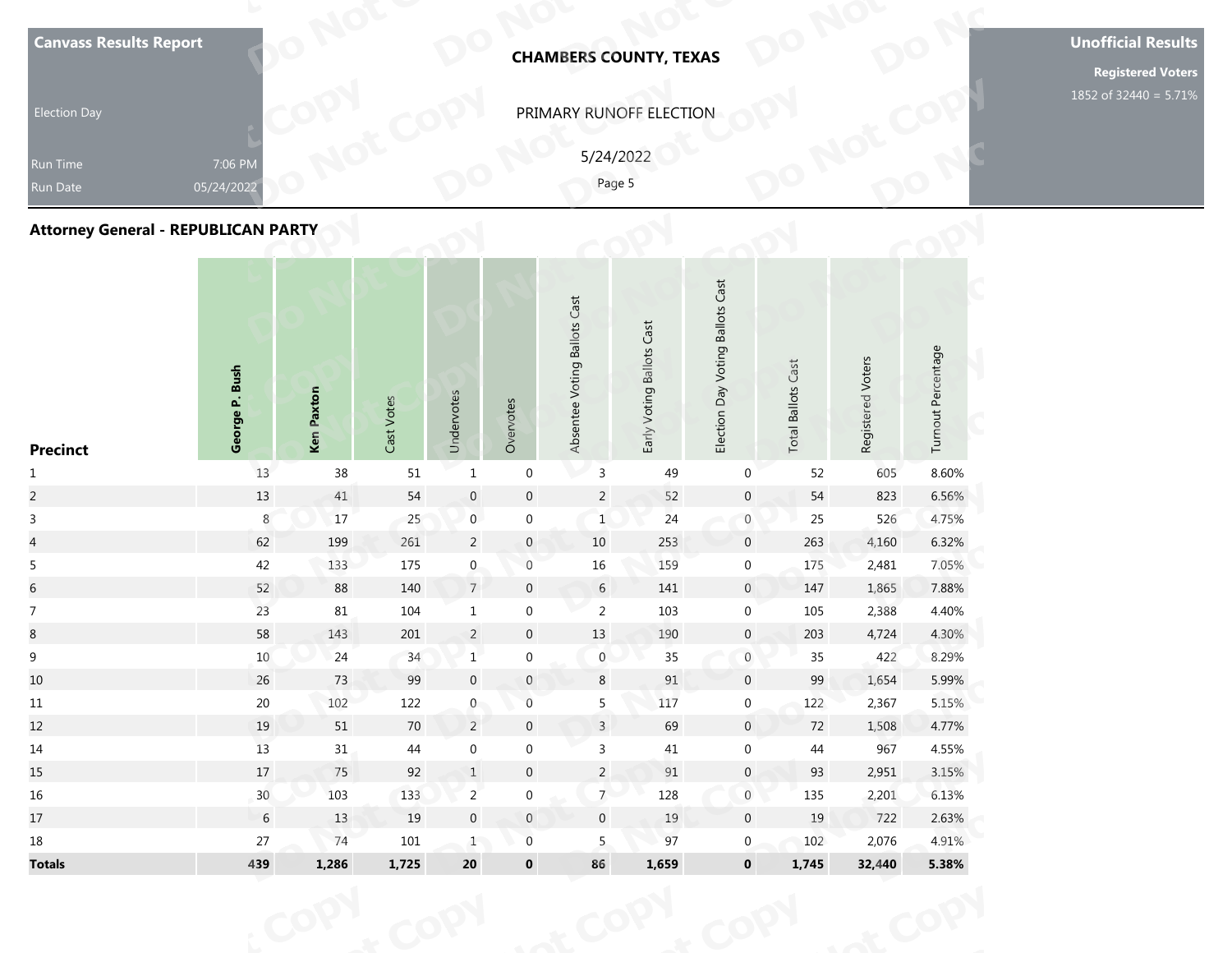| Run Time<br>Run Date<br><b>Attorney General - REPUBLICAN PARTY</b> | 7:06 PM<br>05/24/2022 |            |            |            |           |                              | 5/24/2022<br>Page 5       |                                  |                           |                   |                    |  |
|--------------------------------------------------------------------|-----------------------|------------|------------|------------|-----------|------------------------------|---------------------------|----------------------------------|---------------------------|-------------------|--------------------|--|
| <b>Precinct</b>                                                    | George P. Bush        | Ken Paxton | Cast Votes | Undervotes | Overvotes | Absentee Voting Ballots Cast | Early Voting Ballots Cast | Election Day Voting Ballots Cast | <b>Total Ballots Cast</b> | Registered Voters | Turnout Percentage |  |

| <b>Canvass Results Report</b>              |                       |            |            |                           |                  |                              | <b>CHAMBERS COUNTY, TEXAS</b> |                                  |                           |                   |                    | <b>Unoffic</b><br>Regi |
|--------------------------------------------|-----------------------|------------|------------|---------------------------|------------------|------------------------------|-------------------------------|----------------------------------|---------------------------|-------------------|--------------------|------------------------|
| <b>Election Day</b>                        |                       |            |            |                           |                  |                              | PRIMARY RUNOFF ELECTION       |                                  |                           |                   |                    | 1852 of 3              |
| Run Time<br>Run Date                       | 7:06 PM<br>05/24/2022 |            |            |                           |                  | 5/24/2022<br>Page 5          |                               |                                  |                           |                   |                    |                        |
| <b>Attorney General - REPUBLICAN PARTY</b> |                       |            |            |                           |                  |                              |                               |                                  |                           |                   |                    |                        |
| <b>Precinct</b>                            | George P. Bush        | Ken Paxton | Cast Votes | Undervotes                | Overvotes        | Absentee Voting Ballots Cast | Early Voting Ballots Cast     | Election Day Voting Ballots Cast | <b>Total Ballots Cast</b> | Registered Voters | Turnout Percentage |                        |
| $\mathbf{1}$                               | 13                    | $38\,$     | $51\,$     | $\mathbf 1$               | $\boldsymbol{0}$ | $\mathsf 3$                  | 49                            | $\boldsymbol{0}$                 | 52                        | 605               | 8.60%              |                        |
| $\overline{c}$                             | $13\,$                | 41         | 54         | $\mathbf 0$               | $\mathbf 0$      | $\overline{2}$               | 52                            | $\boldsymbol{0}$                 | $54\,$                    | 823               | 6.56%              |                        |
| $\mathsf{3}$                               | 8                     | $17\,$     | 25         | $\boldsymbol{0}$          | $\boldsymbol{0}$ | $\mathbf{1}$                 | 24                            | $\boldsymbol{0}$                 | 25                        | 526               | 4.75%              |                        |
| $\overline{4}$                             | 62                    | 199        | 261        | $\overline{2}$            | $\boldsymbol{0}$ | $10\,$                       | 253                           | $\mathbf 0$                      | 263                       | 4,160             | 6.32%              |                        |
| 5                                          | 42                    | 133        | 175        | $\pmb{0}$                 | $\boldsymbol{0}$ | $16\,$                       | 159                           | $\boldsymbol{0}$                 | 175                       | 2,481             | 7.05%              |                        |
| $\overline{6}$                             | 52                    | 88         | 140        | $\overline{7}$            | $\mathbf 0$      | $6\phantom{.}6$              | 141                           | $\overline{0}$                   | 147                       | 1,865             | 7.88%              |                        |
| $\overline{7}$                             | 23                    | $81\,$     | 104        | $\mathbf 1$               | $\boldsymbol{0}$ | $\overline{2}$               | 103                           | $\boldsymbol{0}$                 | 105                       | 2,388             | 4.40%              |                        |
| $\bf 8$                                    | 58                    | 143        | $201\,$    | $\overline{2}$            | $\boldsymbol{0}$ | $13\,$                       | 190                           | $\mathsf{O}\xspace$              | 203                       | 4,724             | 4.30%              |                        |
| $\boldsymbol{9}$                           | $10\,$                | 24         | 34         | $\ensuremath{\mathbf{1}}$ | $\boldsymbol{0}$ | $\boldsymbol{0}$             | 35                            | $\,0\,$                          | $35\,$                    | 422               | 8.29%              |                        |
| 10                                         | 26                    | 73         | 99         | $\mathbf 0$               | $\mathbf{0}$     | 8                            | 91                            | $\mathbf 0$                      | 99                        | 1,654             | 5.99%              |                        |
| 11                                         | 20                    | 102        | 122        | $\overline{0}$            | $\,0\,$          | 5                            | 117                           | $\mathbf 0$                      | 122                       | 2,367             | 5.15%              |                        |
| 12                                         | 19                    | 51         | 70         | $\overline{2}$            | $\boldsymbol{0}$ | $\overline{3}$               | 69                            | $\overline{0}$                   | 72                        | 1,508             | 4.77%              |                        |
| 14                                         | 13                    | 31         | 44         | $\boldsymbol{0}$          | $\boldsymbol{0}$ | $\mathbf{3}$                 | 41                            | $\mathbf 0$                      | 44                        | 967               | 4.55%              |                        |
| 15                                         | $17\,$                | 75         | 92         | $\mathbf 1$               | $\boldsymbol{0}$ | $\overline{2}$               | $\ensuremath{\mathsf{91}}$    | $\mathbf{0}$                     | 93                        | 2,951             | 3.15%              |                        |
| $16\,$                                     | 30 <sup>°</sup>       | 103        | 133        | $\mathbf{2}^{\circ}$      | $\boldsymbol{0}$ | $\overline{7}$               | 128                           | $\mathbf 0$                      | 135                       | 2,201             | 6.13%              |                        |
| 17                                         | $\sqrt{6}$            | 13         | 19         | $\boldsymbol{0}$          | $\mathbb O$      | $\mathbf 0$                  | $19\,$                        | $\boldsymbol{0}$                 | 19                        | 722               | 2.63%              |                        |
| $18\,$                                     | $27\,$                | 74         | $101\,$    | $\mathbf{1}$              | $\boldsymbol{0}$ | 5 <sub>1</sub>               | 97                            | $\overline{0}$                   | 102                       | 2,076             | 4.91%              |                        |
| <b>Totals</b>                              | 439                   | 1,286      | 1,725      | ${\bf 20}$                | $\pmb{0}$        | 86                           | 1,659                         | $\mathbf 0$                      | 1,745                     | 32,440            | 5.38%              |                        |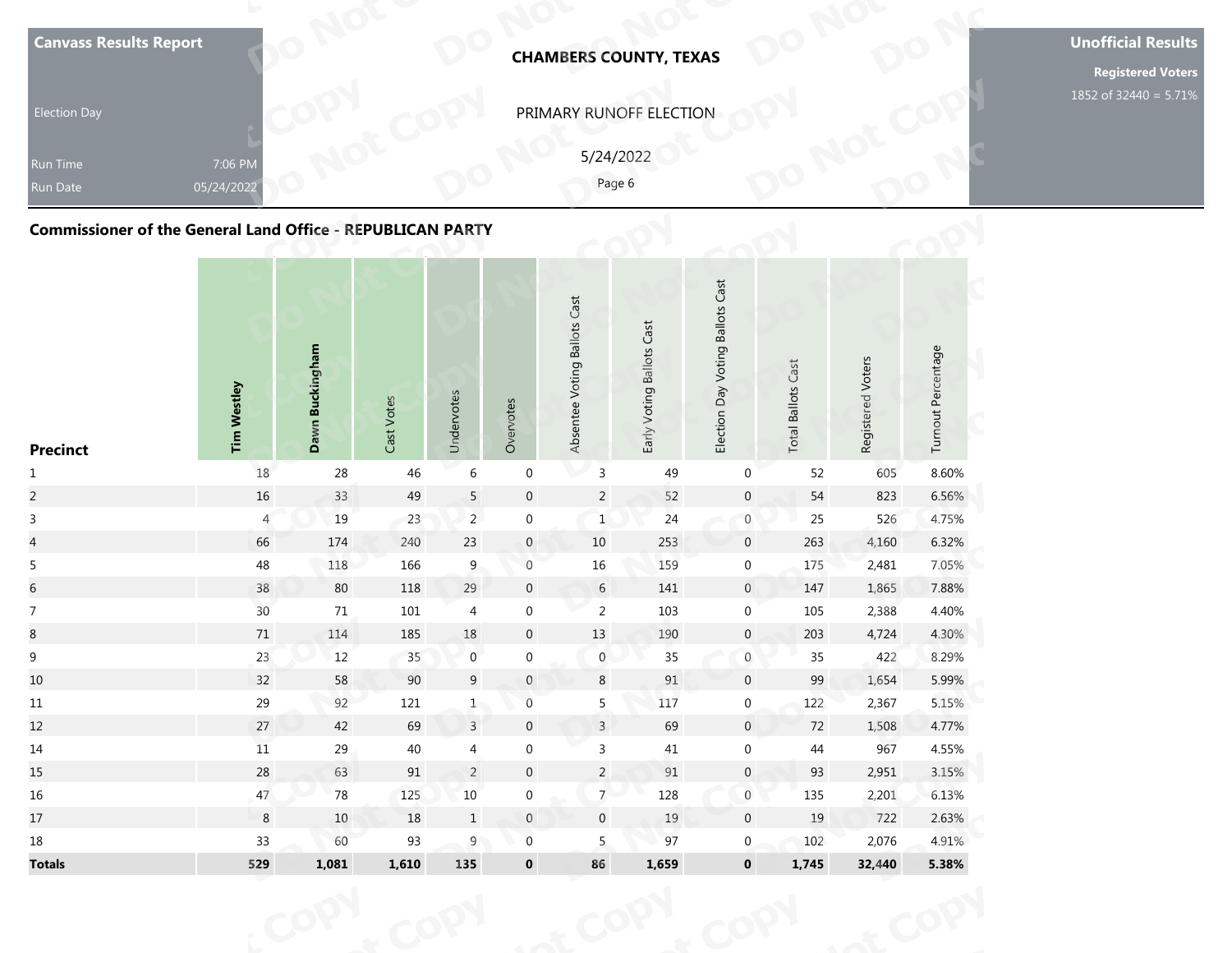| <b>Commissioner of the General Land Office - REPUBLICAN PARTY</b> |                    |                                  |               |            |           |                              | Page 6                    |                                  |                              |                   |                    |
|-------------------------------------------------------------------|--------------------|----------------------------------|---------------|------------|-----------|------------------------------|---------------------------|----------------------------------|------------------------------|-------------------|--------------------|
| <b>Precinct</b>                                                   | <b>Tim Westley</b> | <b>Buckingham</b><br><b>Dawn</b> | Votes<br>Cast | Undervotes | Overvotes | Absentee Voting Ballots Cast | Early Voting Ballots Cast | Election Day Voting Ballots Cast | Cast<br><b>Total Ballots</b> | Registered Voters | Turnout Percentage |

| <b>Canvass Results Report</b>                                     |                       |                 |                            |                  |                  |                              | <b>CHAMBERS COUNTY, TEXAS</b> |                                  |                           |                   |                    | <b>Unoffio</b><br>Regi |
|-------------------------------------------------------------------|-----------------------|-----------------|----------------------------|------------------|------------------|------------------------------|-------------------------------|----------------------------------|---------------------------|-------------------|--------------------|------------------------|
| <b>Election Day</b>                                               |                       |                 |                            |                  |                  |                              | PRIMARY RUNOFF ELECTION       |                                  |                           |                   |                    | 1852 of 3              |
| Run Time<br>Run Date                                              | 7:06 PM<br>05/24/2022 |                 |                            |                  |                  | 5/24/2022<br>Page 6          |                               |                                  |                           |                   |                    |                        |
| <b>Commissioner of the General Land Office - REPUBLICAN PARTY</b> |                       |                 |                            |                  |                  |                              |                               |                                  |                           |                   |                    |                        |
| <b>Precinct</b>                                                   | <b>Tim Westley</b>    | Dawn Buckingham | Cast Votes                 | Undervotes       | Overvotes        | Absentee Voting Ballots Cast | Early Voting Ballots Cast     | Election Day Voting Ballots Cast | <b>Total Ballots Cast</b> | Registered Voters | Turnout Percentage |                        |
| $\mathbf{1}$                                                      | 18                    | 28              | 46                         | $\,$ 6 $\,$      | $\boldsymbol{0}$ | $\mathsf{3}$                 | 49                            | 0                                | 52                        | 605               | 8.60%              |                        |
| $\overline{c}$                                                    | $16\,$                | 33              | 49                         | $\sqrt{5}$       | $\boldsymbol{0}$ | $\overline{2}$               | 52                            | $\mathsf{O}\xspace$              | 54                        | 823               | 6.56%              |                        |
| $\mathbf{3}$                                                      | 4                     | 19              | 23                         | $\overline{2}$   | $\boldsymbol{0}$ | $\mathbf{1}$                 | 24                            | $\boldsymbol{0}$                 | 25                        | 526               | 4.75%              |                        |
| $\overline{\mathcal{L}}$                                          | 66                    | 174             | 240                        | $23\,$           | $\boldsymbol{0}$ | 10                           | 253                           | $\mathbf 0$                      | 263                       | 4,160             | 6.32%              |                        |
| $\sqrt{5}$                                                        | $48\,$                | 118             | 166                        | $\boldsymbol{9}$ | $\boldsymbol{0}$ | $16\,$                       | 159                           | $\boldsymbol{0}$                 | 175                       | 2,481             | 7.05%              |                        |
| $\sqrt{6}$                                                        | 38                    | 80              | 118                        | 29               | $\pmb{0}$        | $6\,$                        | 141                           | $\overline{0}$                   | 147                       | 1,865             | 7.88%              |                        |
| $\overline{7}$                                                    | 30 <sup>°</sup>       | 71              | 101                        | $\sqrt{4}$       | $\boldsymbol{0}$ | $\overline{2}$               | 103                           | $\boldsymbol{0}$                 | 105                       | 2,388             | 4.40%              |                        |
| $\,8\,$                                                           | 71                    | 114             | 185                        | $18\,$           | $\boldsymbol{0}$ | 13                           | 190                           | $\mathsf{O}\xspace$              | 203                       | 4,724             | 4.30%              |                        |
| $\boldsymbol{9}$                                                  | 23                    | $12$            | 35                         | $\,0\,$          | $\boldsymbol{0}$ | $\boldsymbol{0}$             | $35\,$                        | $\boldsymbol{0}$                 | 35                        | 422               | 8.29%              |                        |
| 10                                                                | 32                    | 58              | 90                         | 9                | $\mathbf{0}$     | 8                            | 91                            | $\overline{0}$                   | 99                        | 1,654             | 5.99%              |                        |
| $11\,$                                                            | 29                    | 92              | 121                        | $\mathbf{1}$     | $\,0\,$          | 5                            | 117                           | $\overline{0}$                   | 122                       | 2,367             | 5.15%              |                        |
| 12                                                                | 27                    | 42              | 69                         | $\overline{3}$   | $\pmb{0}$        | $\overline{3}$               | 69                            | $\overline{0}$                   | 72                        | 1,508             | 4.77%              |                        |
| 14                                                                | $11\,$                | 29              | 40                         | $\overline{4}$   | $\boldsymbol{0}$ | $\mathsf{3}$                 | 41                            | $\mathbf 0$                      | 44                        | 967               | 4.55%              |                        |
| 15                                                                | 28                    | 63              | $\ensuremath{\mathsf{91}}$ | $\overline{2}$   | $\pmb{0}$        | $\overline{2}$               | $91\,$                        | $\overline{0}$                   | 93                        | 2,951             | 3.15%              |                        |
| 16                                                                | 47                    | 78              | 125                        | $10\,$           | $\boldsymbol{0}$ | 7 <sup>7</sup>               | 128                           | $\mathbf 0$                      | 135                       | 2,201             | 6.13%              |                        |
| 17                                                                | $\bf 8$               | $10$            | 18                         | $\mathbf{1}$     | $\mathbf 0$      | $\boldsymbol{0}$             | $19\,$                        | $\mathbf 0$                      | 19                        | 722               | 2.63%              |                        |
| 18                                                                | 33                    | 60              | 93                         | $\overline{9}$   | $\boldsymbol{0}$ | 5                            | 97                            | $\overline{0}$                   | 102                       | 2,076             | 4.91%              |                        |
| <b>Totals</b>                                                     | 529                   | 1,081           | 1,610                      | 135              | $\mathbf 0$      | 86                           | 1,659                         | $\mathbf 0$                      | 1,745                     | 32,440            | 5.38%              |                        |
|                                                                   |                       |                 |                            |                  |                  |                              |                               |                                  |                           |                   |                    |                        |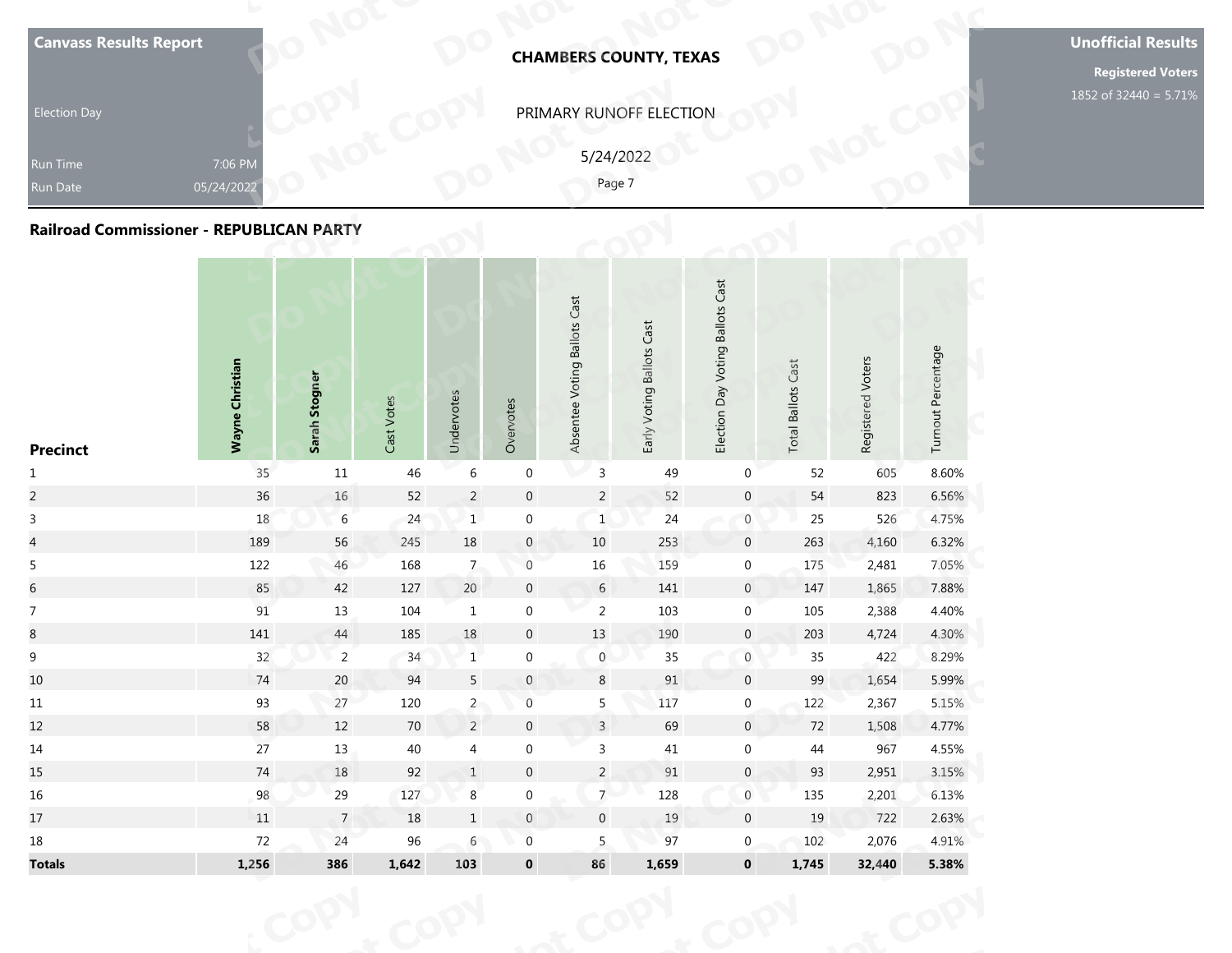|                    |  |  |  |  |  |  |  |  |  |  |  |  |  |  | <b>Unofficial Results</b><br><b>Registered Voters</b><br>1852 of 32440 = 5.71% |  |  |  |  |  |  |  |  |  |  |  |  |  |  |  |  |  |  |  |  |  |  |  |  |  |  |  |  |                                                |  |  |  |                                  |  |  |                           |                                                                                 |
|--------------------|--|--|--|--|--|--|--|--|--|--|--|--|--|--|--------------------------------------------------------------------------------|--|--|--|--|--|--|--|--|--|--|--|--|--|--|--|--|--|--|--|--|--|--|--|--|--|--|--|--|------------------------------------------------|--|--|--|----------------------------------|--|--|---------------------------|---------------------------------------------------------------------------------|
|                    |  |  |  |  |  |  |  |  |  |  |  |  |  |  |                                                                                |  |  |  |  |  |  |  |  |  |  |  |  |  |  |  |  |  |  |  |  |  |  |  |  |  |  |  |  | Registered Voters<br><b>Total Ballots Cast</b> |  |  |  | Election Day Voting Ballots Cast |  |  | Early Voting Ballots Cast | <b>CHAMBERS COUNTY, TEXAS</b><br>PRIMARY RUNOFF ELECTION<br>5/24/2022<br>Page 7 |
|                    |  |  |  |  |  |  |  |  |  |  |  |  |  |  |                                                                                |  |  |  |  |  |  |  |  |  |  |  |  |  |  |  |  |  |  |  |  |  |  |  |  |  |  |  |  |                                                |  |  |  |                                  |  |  |                           |                                                                                 |
|                    |  |  |  |  |  |  |  |  |  |  |  |  |  |  |                                                                                |  |  |  |  |  |  |  |  |  |  |  |  |  |  |  |  |  |  |  |  |  |  |  |  |  |  |  |  |                                                |  |  |  |                                  |  |  |                           |                                                                                 |
|                    |  |  |  |  |  |  |  |  |  |  |  |  |  |  |                                                                                |  |  |  |  |  |  |  |  |  |  |  |  |  |  |  |  |  |  |  |  |  |  |  |  |  |  |  |  |                                                |  |  |  |                                  |  |  |                           |                                                                                 |
|                    |  |  |  |  |  |  |  |  |  |  |  |  |  |  |                                                                                |  |  |  |  |  |  |  |  |  |  |  |  |  |  |  |  |  |  |  |  |  |  |  |  |  |  |  |  |                                                |  |  |  |                                  |  |  |                           |                                                                                 |
|                    |  |  |  |  |  |  |  |  |  |  |  |  |  |  |                                                                                |  |  |  |  |  |  |  |  |  |  |  |  |  |  |  |  |  |  |  |  |  |  |  |  |  |  |  |  |                                                |  |  |  |                                  |  |  |                           |                                                                                 |
|                    |  |  |  |  |  |  |  |  |  |  |  |  |  |  |                                                                                |  |  |  |  |  |  |  |  |  |  |  |  |  |  |  |  |  |  |  |  |  |  |  |  |  |  |  |  |                                                |  |  |  |                                  |  |  |                           |                                                                                 |
|                    |  |  |  |  |  |  |  |  |  |  |  |  |  |  |                                                                                |  |  |  |  |  |  |  |  |  |  |  |  |  |  |  |  |  |  |  |  |  |  |  |  |  |  |  |  |                                                |  |  |  |                                  |  |  |                           |                                                                                 |
|                    |  |  |  |  |  |  |  |  |  |  |  |  |  |  |                                                                                |  |  |  |  |  |  |  |  |  |  |  |  |  |  |  |  |  |  |  |  |  |  |  |  |  |  |  |  |                                                |  |  |  |                                  |  |  |                           |                                                                                 |
|                    |  |  |  |  |  |  |  |  |  |  |  |  |  |  |                                                                                |  |  |  |  |  |  |  |  |  |  |  |  |  |  |  |  |  |  |  |  |  |  |  |  |  |  |  |  |                                                |  |  |  |                                  |  |  |                           |                                                                                 |
|                    |  |  |  |  |  |  |  |  |  |  |  |  |  |  |                                                                                |  |  |  |  |  |  |  |  |  |  |  |  |  |  |  |  |  |  |  |  |  |  |  |  |  |  |  |  |                                                |  |  |  |                                  |  |  |                           |                                                                                 |
|                    |  |  |  |  |  |  |  |  |  |  |  |  |  |  |                                                                                |  |  |  |  |  |  |  |  |  |  |  |  |  |  |  |  |  |  |  |  |  |  |  |  |  |  |  |  |                                                |  |  |  |                                  |  |  |                           |                                                                                 |
|                    |  |  |  |  |  |  |  |  |  |  |  |  |  |  |                                                                                |  |  |  |  |  |  |  |  |  |  |  |  |  |  |  |  |  |  |  |  |  |  |  |  |  |  |  |  |                                                |  |  |  |                                  |  |  |                           |                                                                                 |
|                    |  |  |  |  |  |  |  |  |  |  |  |  |  |  |                                                                                |  |  |  |  |  |  |  |  |  |  |  |  |  |  |  |  |  |  |  |  |  |  |  |  |  |  |  |  |                                                |  |  |  |                                  |  |  |                           |                                                                                 |
|                    |  |  |  |  |  |  |  |  |  |  |  |  |  |  |                                                                                |  |  |  |  |  |  |  |  |  |  |  |  |  |  |  |  |  |  |  |  |  |  |  |  |  |  |  |  |                                                |  |  |  |                                  |  |  |                           |                                                                                 |
|                    |  |  |  |  |  |  |  |  |  |  |  |  |  |  |                                                                                |  |  |  |  |  |  |  |  |  |  |  |  |  |  |  |  |  |  |  |  |  |  |  |  |  |  |  |  |                                                |  |  |  |                                  |  |  |                           |                                                                                 |
|                    |  |  |  |  |  |  |  |  |  |  |  |  |  |  |                                                                                |  |  |  |  |  |  |  |  |  |  |  |  |  |  |  |  |  |  |  |  |  |  |  |  |  |  |  |  |                                                |  |  |  |                                  |  |  |                           |                                                                                 |
|                    |  |  |  |  |  |  |  |  |  |  |  |  |  |  |                                                                                |  |  |  |  |  |  |  |  |  |  |  |  |  |  |  |  |  |  |  |  |  |  |  |  |  |  |  |  |                                                |  |  |  |                                  |  |  |                           |                                                                                 |
| Turnout Percentage |  |  |  |  |  |  |  |  |  |  |  |  |  |  |                                                                                |  |  |  |  |  |  |  |  |  |  |  |  |  |  |  |  |  |  |  |  |  |  |  |  |  |  |  |  |                                                |  |  |  |                                  |  |  |                           |                                                                                 |
|                    |  |  |  |  |  |  |  |  |  |  |  |  |  |  |                                                                                |  |  |  |  |  |  |  |  |  |  |  |  |  |  |  |  |  |  |  |  |  |  |  |  |  |  |  |  |                                                |  |  |  |                                  |  |  |                           |                                                                                 |
|                    |  |  |  |  |  |  |  |  |  |  |  |  |  |  |                                                                                |  |  |  |  |  |  |  |  |  |  |  |  |  |  |  |  |  |  |  |  |  |  |  |  |  |  |  |  |                                                |  |  |  |                                  |  |  |                           |                                                                                 |
|                    |  |  |  |  |  |  |  |  |  |  |  |  |  |  |                                                                                |  |  |  |  |  |  |  |  |  |  |  |  |  |  |  |  |  |  |  |  |  |  |  |  |  |  |  |  |                                                |  |  |  |                                  |  |  |                           |                                                                                 |
|                    |  |  |  |  |  |  |  |  |  |  |  |  |  |  |                                                                                |  |  |  |  |  |  |  |  |  |  |  |  |  |  |  |  |  |  |  |  |  |  |  |  |  |  |  |  |                                                |  |  |  |                                  |  |  |                           |                                                                                 |
|                    |  |  |  |  |  |  |  |  |  |  |  |  |  |  |                                                                                |  |  |  |  |  |  |  |  |  |  |  |  |  |  |  |  |  |  |  |  |  |  |  |  |  |  |  |  |                                                |  |  |  |                                  |  |  |                           |                                                                                 |
|                    |  |  |  |  |  |  |  |  |  |  |  |  |  |  |                                                                                |  |  |  |  |  |  |  |  |  |  |  |  |  |  |  |  |  |  |  |  |  |  |  |  |  |  |  |  |                                                |  |  |  |                                  |  |  |                           |                                                                                 |
|                    |  |  |  |  |  |  |  |  |  |  |  |  |  |  |                                                                                |  |  |  |  |  |  |  |  |  |  |  |  |  |  |  |  |  |  |  |  |  |  |  |  |  |  |  |  |                                                |  |  |  |                                  |  |  |                           |                                                                                 |
|                    |  |  |  |  |  |  |  |  |  |  |  |  |  |  |                                                                                |  |  |  |  |  |  |  |  |  |  |  |  |  |  |  |  |  |  |  |  |  |  |  |  |  |  |  |  |                                                |  |  |  |                                  |  |  |                           |                                                                                 |
|                    |  |  |  |  |  |  |  |  |  |  |  |  |  |  |                                                                                |  |  |  |  |  |  |  |  |  |  |  |  |  |  |  |  |  |  |  |  |  |  |  |  |  |  |  |  |                                                |  |  |  |                                  |  |  |                           |                                                                                 |
|                    |  |  |  |  |  |  |  |  |  |  |  |  |  |  |                                                                                |  |  |  |  |  |  |  |  |  |  |  |  |  |  |  |  |  |  |  |  |  |  |  |  |  |  |  |  |                                                |  |  |  |                                  |  |  |                           |                                                                                 |
|                    |  |  |  |  |  |  |  |  |  |  |  |  |  |  |                                                                                |  |  |  |  |  |  |  |  |  |  |  |  |  |  |  |  |  |  |  |  |  |  |  |  |  |  |  |  |                                                |  |  |  |                                  |  |  |                           |                                                                                 |
|                    |  |  |  |  |  |  |  |  |  |  |  |  |  |  |                                                                                |  |  |  |  |  |  |  |  |  |  |  |  |  |  |  |  |  |  |  |  |  |  |  |  |  |  |  |  |                                                |  |  |  |                                  |  |  |                           |                                                                                 |
|                    |  |  |  |  |  |  |  |  |  |  |  |  |  |  |                                                                                |  |  |  |  |  |  |  |  |  |  |  |  |  |  |  |  |  |  |  |  |  |  |  |  |  |  |  |  |                                                |  |  |  |                                  |  |  |                           |                                                                                 |
|                    |  |  |  |  |  |  |  |  |  |  |  |  |  |  |                                                                                |  |  |  |  |  |  |  |  |  |  |  |  |  |  |  |  |  |  |  |  |  |  |  |  |  |  |  |  |                                                |  |  |  |                                  |  |  |                           |                                                                                 |
|                    |  |  |  |  |  |  |  |  |  |  |  |  |  |  |                                                                                |  |  |  |  |  |  |  |  |  |  |  |  |  |  |  |  |  |  |  |  |  |  |  |  |  |  |  |  |                                                |  |  |  |                                  |  |  |                           |                                                                                 |
|                    |  |  |  |  |  |  |  |  |  |  |  |  |  |  |                                                                                |  |  |  |  |  |  |  |  |  |  |  |  |  |  |  |  |  |  |  |  |  |  |  |  |  |  |  |  |                                                |  |  |  |                                  |  |  |                           |                                                                                 |
|                    |  |  |  |  |  |  |  |  |  |  |  |  |  |  |                                                                                |  |  |  |  |  |  |  |  |  |  |  |  |  |  |  |  |  |  |  |  |  |  |  |  |  |  |  |  |                                                |  |  |  |                                  |  |  |                           |                                                                                 |
|                    |  |  |  |  |  |  |  |  |  |  |  |  |  |  |                                                                                |  |  |  |  |  |  |  |  |  |  |  |  |  |  |  |  |  |  |  |  |  |  |  |  |  |  |  |  |                                                |  |  |  |                                  |  |  |                           |                                                                                 |
|                    |  |  |  |  |  |  |  |  |  |  |  |  |  |  |                                                                                |  |  |  |  |  |  |  |  |  |  |  |  |  |  |  |  |  |  |  |  |  |  |  |  |  |  |  |  |                                                |  |  |  |                                  |  |  |                           |                                                                                 |
|                    |  |  |  |  |  |  |  |  |  |  |  |  |  |  |                                                                                |  |  |  |  |  |  |  |  |  |  |  |  |  |  |  |  |  |  |  |  |  |  |  |  |  |  |  |  |                                                |  |  |  |                                  |  |  |                           |                                                                                 |
|                    |  |  |  |  |  |  |  |  |  |  |  |  |  |  |                                                                                |  |  |  |  |  |  |  |  |  |  |  |  |  |  |  |  |  |  |  |  |  |  |  |  |  |  |  |  |                                                |  |  |  |                                  |  |  |                           |                                                                                 |
|                    |  |  |  |  |  |  |  |  |  |  |  |  |  |  |                                                                                |  |  |  |  |  |  |  |  |  |  |  |  |  |  |  |  |  |  |  |  |  |  |  |  |  |  |  |  |                                                |  |  |  |                                  |  |  |                           |                                                                                 |
|                    |  |  |  |  |  |  |  |  |  |  |  |  |  |  |                                                                                |  |  |  |  |  |  |  |  |  |  |  |  |  |  |  |  |  |  |  |  |  |  |  |  |  |  |  |  |                                                |  |  |  |                                  |  |  |                           |                                                                                 |

| <b>Canvass Results Report</b>                   |                       |                |            |                           |                  |                              | <b>CHAMBERS COUNTY, TEXAS</b> |                                  |                           |                   |                    | <b>Unoffio</b><br>Regi |
|-------------------------------------------------|-----------------------|----------------|------------|---------------------------|------------------|------------------------------|-------------------------------|----------------------------------|---------------------------|-------------------|--------------------|------------------------|
| <b>Election Day</b>                             |                       |                |            |                           |                  |                              | PRIMARY RUNOFF ELECTION       |                                  |                           |                   |                    | 1852 of 3              |
| <b>Run Time</b><br>Run Date                     | 7:06 PM<br>05/24/2022 |                |            |                           |                  | 5/24/2022<br>Page 7          |                               |                                  |                           |                   |                    |                        |
| <b>Railroad Commissioner - REPUBLICAN PARTY</b> |                       |                |            |                           |                  |                              |                               |                                  |                           |                   |                    |                        |
| <b>Precinct</b>                                 | Wayne Christian       | Sarah Stogner  | Cast Votes | Undervotes                | Overvotes        | Absentee Voting Ballots Cast | Early Voting Ballots Cast     | Election Day Voting Ballots Cast | <b>Total Ballots Cast</b> | Registered Voters | Turnout Percentage |                        |
| $\mathbf{1}$                                    | 35                    | 11             | 46         | $\,$ 6 $\,$               | $\boldsymbol{0}$ | $\mathsf{3}$                 | 49                            | $\boldsymbol{0}$                 | 52                        | 605               | 8.60%              |                        |
| $\overline{c}$                                  | 36                    | 16             | 52         | $\overline{2}$            | $\boldsymbol{0}$ | $\overline{2}$               | 52                            | $\mathbf 0$                      | 54                        | 823               | 6.56%              |                        |
| $\mathbf{3}$                                    | 18                    | $\sqrt{6}$     | 24         | $\vert$ 1                 | $\boldsymbol{0}$ | $\overline{1}$               | 24                            | $\boldsymbol{0}$                 | 25                        | 526               | 4.75%              |                        |
| $\overline{4}$                                  | 189                   | 56             | 245        | $18\,$                    | $\boldsymbol{0}$ | 10                           | 253                           | $\mathbf 0$                      | 263                       | 4,160             | 6.32%              |                        |
| 5                                               | 122                   | $46\,$         | 168        | $7\phantom{.0}$           | $\boldsymbol{0}$ | $16\,$                       | 159                           | $\boldsymbol{0}$                 | 175                       | 2,481             | 7.05%              |                        |
| $\,$ 6 $\,$                                     | 85                    | 42             | 127        | $20\,$                    | $\mathbf 0$      | $6\phantom{.}6$              | 141                           | $\overline{0}$                   | 147                       | 1,865             | 7.88%              |                        |
| $\boldsymbol{7}$                                | 91                    | 13             | 104        | $\mathbf{1}$              | $\boldsymbol{0}$ | $\overline{2}$               | 103                           | $\boldsymbol{0}$                 | 105                       | 2,388             | 4.40%              |                        |
| $8\,$                                           | $141\,$               | 44             | 185        | $18\,$                    | $\boldsymbol{0}$ | $13\,$                       | 190                           | $\boldsymbol{0}$                 | 203                       | 4,724             | 4.30%              |                        |
| $\mathsf 9$                                     | 32                    | $\sqrt{2}$     | 34         | $\mathbf{1}$              | $\boldsymbol{0}$ | $\boldsymbol{0}$             | $35\,$                        | $\boldsymbol{0}$                 | $35\,$                    | 422               | 8.29%              |                        |
| 10                                              | 74                    | 20             | 94         | 5                         | $\mathbf{0}$     | 8                            | 91                            | $\mathbf 0$                      | 99                        | 1,654             | 5.99%              |                        |
| $11\,$                                          | 93                    | 27             | 120        | $2\overline{ }$           | $\boldsymbol{0}$ | 5                            | 117                           | $\mathbf 0$                      | 122                       | 2,367             | 5.15%              |                        |
| 12                                              | 58                    | $12$           | 70         | $\overline{2}$            | $\pmb{0}$        | $\overline{3}$               | 69                            | $\overline{0}$                   | 72                        | 1,508             | 4.77%              |                        |
| 14                                              | 27                    | 13             | 40         | $\overline{4}$            | $\boldsymbol{0}$ | $\mathsf{3}$                 | 41                            | $\mathsf{O}\xspace$              | $44$                      | 967               | 4.55%              |                        |
| 15                                              | 74                    | 18             | 92         | $\mathbf 1$               | $\pmb{0}$        | $\overline{2}$               | $91\,$                        | $\mathsf{O}\xspace$              | 93                        | 2,951             | 3.15%              |                        |
| 16                                              | 98                    | 29             | 127        | $\bf 8$                   | $\pmb{0}$        | $\overline{7}$               | 128                           | $\mathbf 0$                      | 135                       | 2,201             | 6.13%              |                        |
| 17                                              | 11                    | $\overline{7}$ | 18         | $\ensuremath{\mathsf{1}}$ | $\mathbf 0$      | $\mathbf 0$                  | $19\,$                        | $\mathbf 0$                      | 19                        | 722               | 2.63%              |                        |
| 18                                              | 72                    | 24             | 96         | $\sqrt{6}$                | $\boldsymbol{0}$ | 5                            | 97                            | $\overline{0}$                   | 102                       | 2,076             | 4.91%              |                        |
| <b>Totals</b>                                   | 1,256                 | 386            | 1,642      | 103                       | $\mathbf 0$      | 86                           | 1,659                         | $\mathbf 0$                      | 1,745                     | 32,440            | 5.38%              |                        |
|                                                 |                       |                |            |                           |                  |                              |                               |                                  |                           |                   |                    |                        |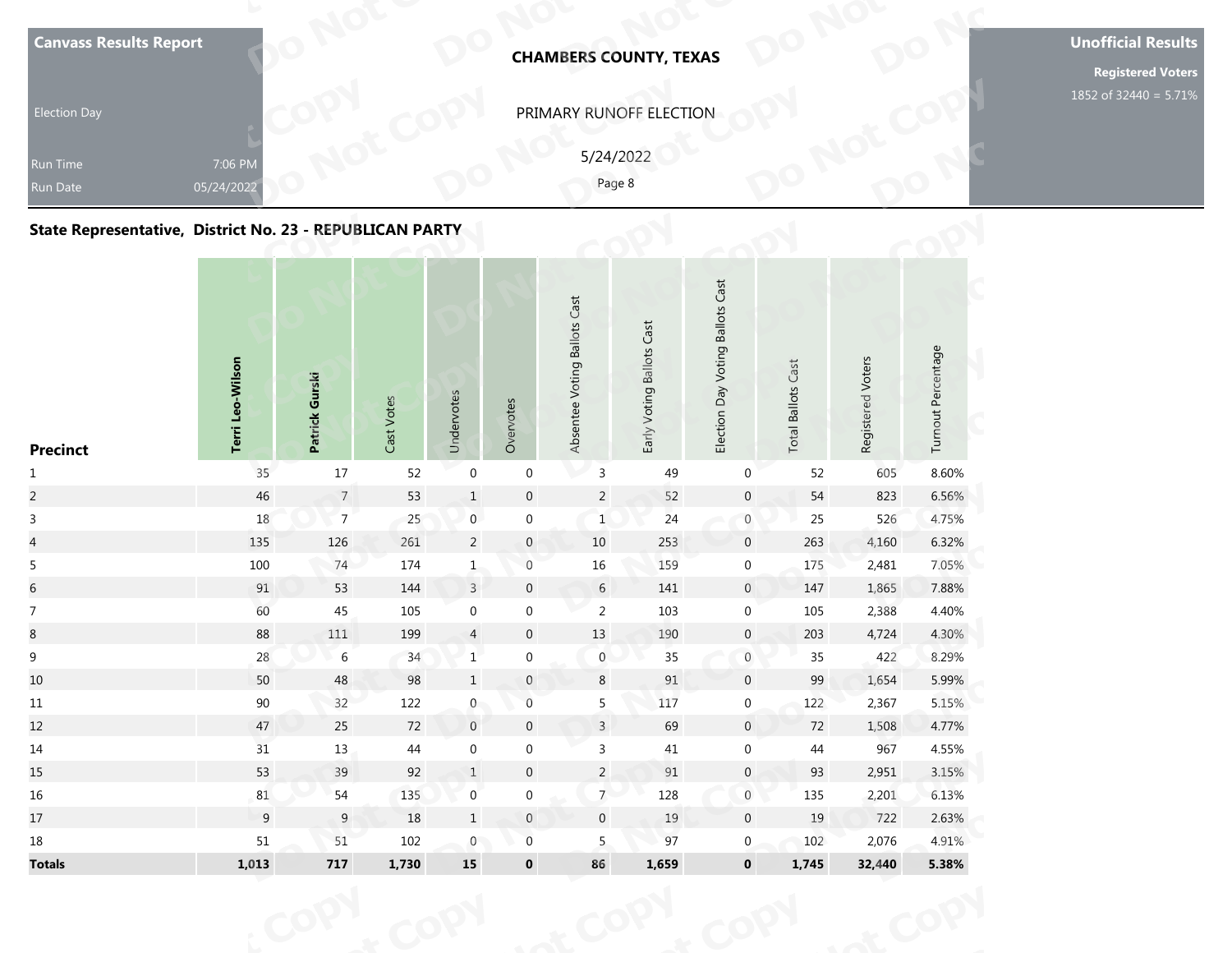| Run Date<br>State Representative, District No. 23 - REPUBLICAN PARTY | 05/24/2022       |                |            |            |           |                              | 5/24/2022<br>Page 8       |                                  |                           |                   |                    |
|----------------------------------------------------------------------|------------------|----------------|------------|------------|-----------|------------------------------|---------------------------|----------------------------------|---------------------------|-------------------|--------------------|
| <b>Precinct</b>                                                      | Terri Leo-Wilson | Patrick Gurski | Cast Votes | Undervotes | Overvotes | Absentee Voting Ballots Cast | Early Voting Ballots Cast | Election Day Voting Ballots Cast | <b>Total Ballots Cast</b> | Registered Voters | Turnout Percentage |

# **State Representative, District No. 23 - REPUBLICAN PARTY**

| <b>Canvass Results Report</b>                            |                       |                |            |                  |                  |                              | <b>CHAMBERS COUNTY, TEXAS</b> |                                  |                           |                   |                    | <b>Unoffic</b> |
|----------------------------------------------------------|-----------------------|----------------|------------|------------------|------------------|------------------------------|-------------------------------|----------------------------------|---------------------------|-------------------|--------------------|----------------|
| <b>Election Day</b>                                      |                       |                |            |                  |                  |                              | PRIMARY RUNOFF ELECTION       |                                  |                           |                   |                    | 1852 of 3      |
| Run Time<br>Run Date                                     | 7:06 PM<br>05/24/2022 |                |            |                  |                  | 5/24/2022<br>Page 8          |                               |                                  |                           |                   |                    |                |
| State Representative, District No. 23 - REPUBLICAN PARTY |                       |                |            |                  |                  |                              |                               |                                  |                           |                   |                    |                |
| <b>Precinct</b>                                          | Terri Leo-Wilson      | Patrick Gurski | Cast Votes | Undervotes       | Overvotes        | Absentee Voting Ballots Cast | Early Voting Ballots Cast     | Election Day Voting Ballots Cast | <b>Total Ballots Cast</b> | Registered Voters | Turnout Percentage |                |
| $1\,$                                                    | 35                    | 17             | 52         | $\boldsymbol{0}$ | $\boldsymbol{0}$ | $\mathsf{3}$                 | 49                            | 0                                | 52                        | 605               | 8.60%              |                |
| $\overline{a}$                                           | $46\,$                | $\overline{7}$ | 53         | $\mathbf{1}$     | $\boldsymbol{0}$ | $\overline{c}$               | 52                            | $\mathbf 0$                      | 54                        | 823               | 6.56%              |                |
| $\mathbf{3}$                                             | $18\,$                | $\overline{7}$ | 25         | $\boldsymbol{0}$ | $\boldsymbol{0}$ | $\mathbf{1}$                 | 24                            | $\boldsymbol{0}$                 | 25                        | 526               | 4.75%              |                |
| $\overline{4}$                                           | 135                   | 126            | 261        | $\overline{2}$   | $\pmb{0}$        | 10                           | 253                           | $\mathbf 0$                      | 263                       | 4,160             | 6.32%              |                |
| $5\phantom{a}$                                           | 100                   | 74             | 174        | $\mathbf{1}$     | $\boldsymbol{0}$ | $16\,$                       | 159                           | $\boldsymbol{0}$                 | 175                       | 2,481             | 7.05%              |                |
| $\sqrt{6}$                                               | 91                    | 53             | 144        | $\overline{3}$   | $\pmb{0}$        | $6\phantom{.}6$              | 141                           | $\overline{0}$                   | 147                       | 1,865             | 7.88%              |                |
| $\overline{7}$                                           | 60                    | 45             | 105        | $\boldsymbol{0}$ | $\boldsymbol{0}$ | $\overline{2}$               | 103                           | $\boldsymbol{0}$                 | 105                       | 2,388             | 4.40%              |                |
| $\,8\,$                                                  | 88                    | $111\,$        | 199        | $\overline{4}$   | $\pmb{0}$        | $13\,$                       | 190                           | $\mathsf{O}\xspace$              | 203                       | 4,724             | 4.30%              |                |
| $\boldsymbol{9}$                                         | 28                    | $\,6\,$        | 34         | $\,1$            | $\boldsymbol{0}$ | $\boldsymbol{0}$             | $35\,$                        | $\boldsymbol{0}$                 | $35\,$                    | 422               | 8.29%              |                |
| 10                                                       | 50                    | 48             | 98         | $\mathbf{1}$     | $\mathbf{0}$     | 8                            | 91                            | $\overline{0}$                   | 99                        | 1,654             | 5.99%              |                |
| $11\,$                                                   | 90                    | 32             | 122        | $\overline{0}$   | $\,0\,$          | $5\phantom{.0}$              | 117                           | $\overline{0}$                   | 122                       | 2,367             | 5.15%              |                |
| 12                                                       | 47                    | 25             | 72         | $\,$ 0 $\,$      | $\pmb{0}$        | $\overline{3}$               | 69                            | $\overline{0}$                   | 72                        | 1,508             | 4.77%              |                |
| 14                                                       | 31                    | 13             | 44         | $\boldsymbol{0}$ | $\boldsymbol{0}$ | $\mathsf{3}$                 | 41                            | $\boldsymbol{0}$                 | 44                        | 967               | 4.55%              |                |
| 15                                                       | 53                    | 39             | 92         | $\mathbf{1}$     | $\pmb{0}$        | $\overline{2}$               | $91\,$                        | $\overline{0}$                   | 93                        | 2,951             | 3.15%              |                |
| 16                                                       | 81                    | 54             | 135        | $\mathbf 0$      | $\boldsymbol{0}$ | 7 <sup>2</sup>               | 128                           | $\mathbf 0$                      | 135                       | 2,201             | 6.13%              |                |
| 17                                                       | $\boldsymbol{9}$      | 9              | 18         | $1\,$            | $\mathbf 0$      | $\pmb{0}$                    | $19\,$                        | $\mathbf 0$                      | 19                        | 722               | 2.63%              |                |
| 18                                                       | 51                    | $51\,$         | 102        | $\overline{0}$   | $\boldsymbol{0}$ | 5                            | 97                            | $\overline{0}$                   | 102                       | 2,076             | 4.91%              |                |
| <b>Totals</b>                                            | 1,013                 | 717            | 1,730      | ${\bf 15}$       | $\mathbf 0$      | 86                           | 1,659                         | $\mathbf 0$                      | 1,745                     | 32,440            | 5.38%              |                |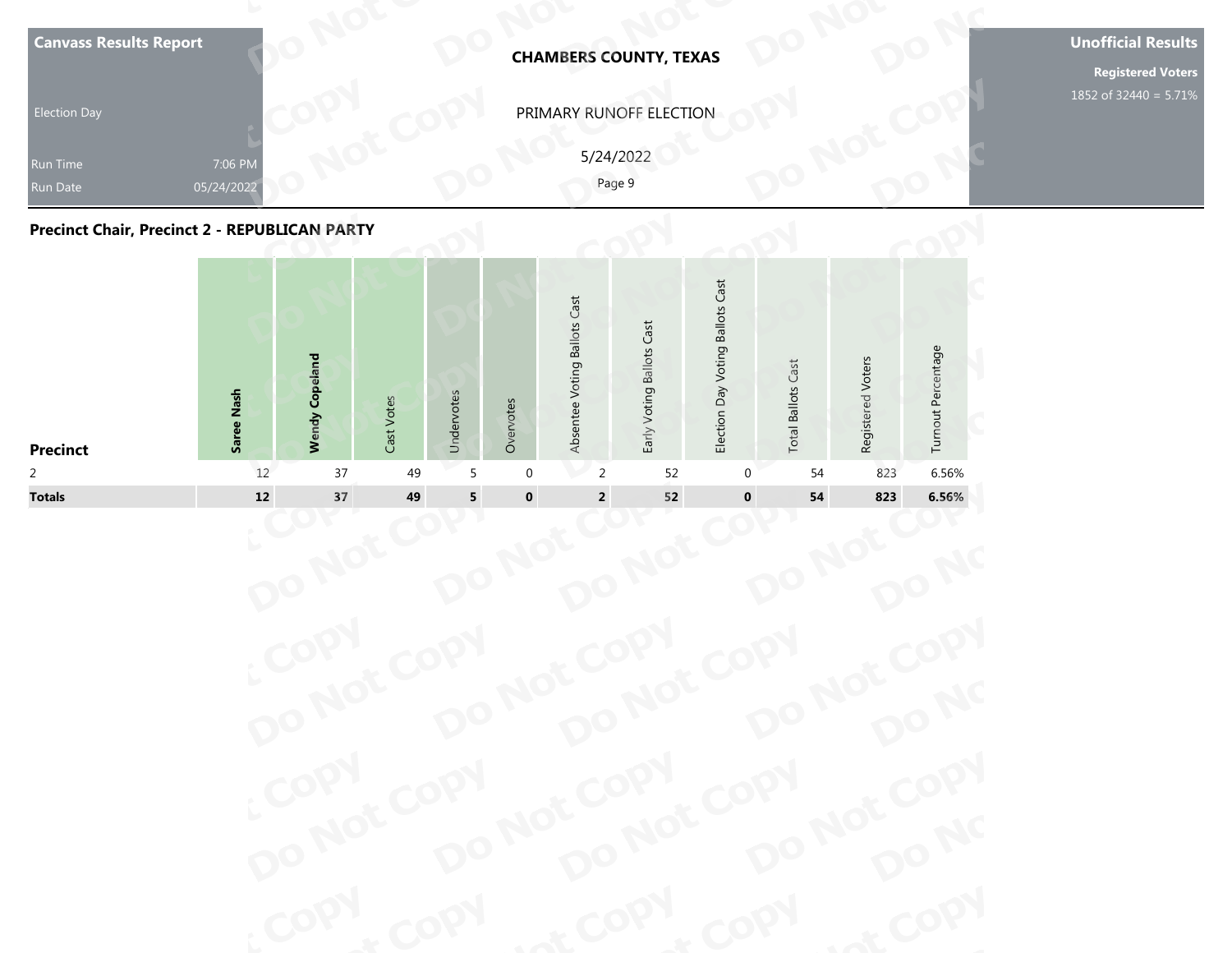| <b>Election Day</b><br>Run Time<br>Run Date          | 7:06 PM<br>05/24/2022 |                       |  |                              | <b>CHAMBERS COUNTY, TEXAS</b><br>PRIMARY RUNOFF ELECTION<br>5/24/2022<br>Page 9 |                                  |                           |                   |                    | <b>Registered Voters</b><br>1852 of 32440 = 5.71% |
|------------------------------------------------------|-----------------------|-----------------------|--|------------------------------|---------------------------------------------------------------------------------|----------------------------------|---------------------------|-------------------|--------------------|---------------------------------------------------|
| <b>Precinct Chair, Precinct 2 - REPUBLICAN PARTY</b> |                       |                       |  |                              |                                                                                 |                                  |                           |                   |                    |                                                   |
|                                                      |                       | <b>Wendy Copeland</b> |  | Absentee Voting Ballots Cast | Early Voting Ballots Cast                                                       | Election Day Voting Ballots Cast | <b>Total Ballots Cast</b> | Registered Voters | Turnout Percentage |                                                   |



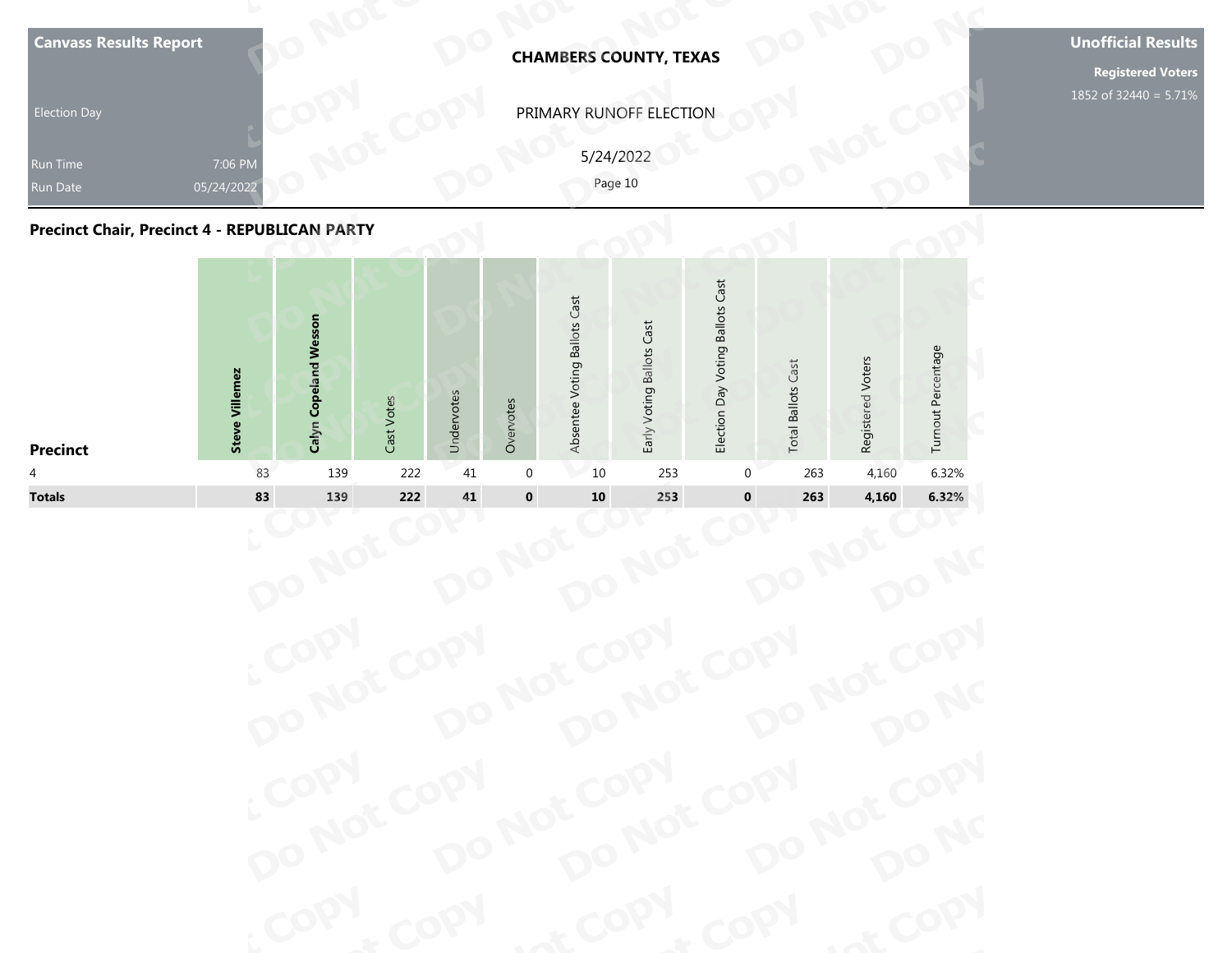| <b>Canvass Results Report</b><br><b>Election Day</b><br>Run Time | 7:06 PM                  |                                 |               |            |           |                              | <b>CHAMBERS COUNTY, TEXAS</b><br>PRIMARY RUNOFF ELECTION<br>5/24/2022 |                                  |                           |                   |                    | <b>Unofficial Results</b><br><b>Registered Voters</b><br>1852 of 32440 = 5.71% |
|------------------------------------------------------------------|--------------------------|---------------------------------|---------------|------------|-----------|------------------------------|-----------------------------------------------------------------------|----------------------------------|---------------------------|-------------------|--------------------|--------------------------------------------------------------------------------|
| <b>Run Date</b><br>Precinct Chair, Precinct 4 - REPUBLICAN PARTY | 05/24/2022               |                                 |               |            |           |                              | Page 10                                                               |                                  |                           |                   |                    |                                                                                |
|                                                                  | Villemez<br><b>Steve</b> | <b>Copeland Wesson</b><br>Calyn | Votes<br>Cast | Undervotes | Overvotes | Absentee Voting Ballots Cast | Early Voting Ballots Cast                                             | Election Day Voting Ballots Cast | <b>Total Ballots Cast</b> | Registered Voters | Turnout Percentage |                                                                                |

| PRIMARY RUNOFF ELECTION<br><b>Election Day</b><br>5/24/2022<br>7:06 PM<br>Run Time<br>Page 10<br>05/24/2022<br>Run Date<br><b>Precinct Chair, Precinct 4 - REPUBLICAN PARTY</b>                                                                                                     |       |
|-------------------------------------------------------------------------------------------------------------------------------------------------------------------------------------------------------------------------------------------------------------------------------------|-------|
|                                                                                                                                                                                                                                                                                     |       |
|                                                                                                                                                                                                                                                                                     |       |
|                                                                                                                                                                                                                                                                                     |       |
| Election Day Voting Ballots Cast<br>Absentee Voting Ballots Cast<br>Calyn Copeland Wesson<br>Early Voting Ballots Cast<br>Turnout Percentage<br>Registered Voters<br><b>Total Ballots Cast</b><br><b>Steve Villemez</b><br>Undervotes<br>Cast Votes<br>Overvotes<br><b>Precinct</b> |       |
| 139<br>222<br>4,160<br>83<br>41<br>$\overline{0}$<br>10<br>253<br>263<br>$\overline{4}$<br>0                                                                                                                                                                                        | 6.32% |
| $\pmb{0}$<br><b>Totals</b><br>83<br>222<br>$\bf 41$<br>${\bf 10}$<br>$\pmb{0}$<br>139<br>253<br>263<br>4,160                                                                                                                                                                        | 6.32% |

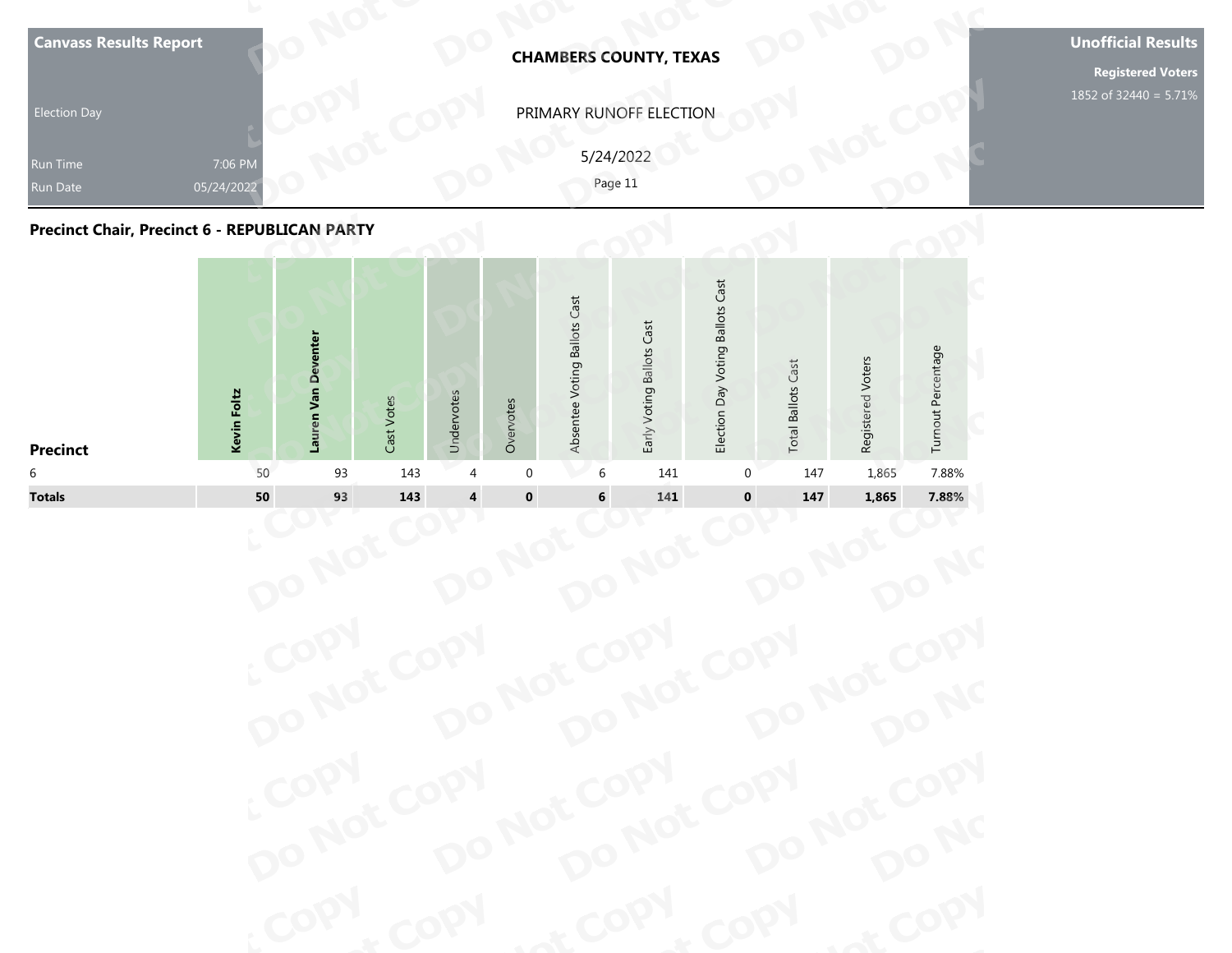| <b>Election Day</b><br>Run Time<br><b>Run Date</b><br><b>Precinct Chair, Precinct 6 - REPUBLICAN PARTY</b> | 7:06 PM<br>05/24/2022 |                     |            |            |           |                              | PRIMARY RUNOFF ELECTION<br>5/24/2022<br>Page 11 |                                  |                           |                   |                    | 1852 of 32440 = 5.71% |
|------------------------------------------------------------------------------------------------------------|-----------------------|---------------------|------------|------------|-----------|------------------------------|-------------------------------------------------|----------------------------------|---------------------------|-------------------|--------------------|-----------------------|
| <b>Precinct</b>                                                                                            | Kevin Foltz           | Lauren Van Deventer | Cast Votes | Undervotes | Overvotes | Absentee Voting Ballots Cast | Early Voting Ballots Cast                       | Election Day Voting Ballots Cast | <b>Total Ballots Cast</b> | Registered Voters | Turnout Percentage |                       |

| <b>Election Day</b><br>Run Time<br>Run Date          |                       |                     |            |                |             |                              | <b>CHAMBERS COUNTY, TEXAS</b> |                                  |                           |                   |                    |
|------------------------------------------------------|-----------------------|---------------------|------------|----------------|-------------|------------------------------|-------------------------------|----------------------------------|---------------------------|-------------------|--------------------|
|                                                      |                       |                     |            |                |             |                              | PRIMARY RUNOFF ELECTION       |                                  |                           |                   |                    |
|                                                      | 7:06 PM<br>05/24/2022 |                     |            |                |             |                              | 5/24/2022<br>Page 11          |                                  |                           |                   |                    |
| <b>Precinct Chair, Precinct 6 - REPUBLICAN PARTY</b> |                       |                     |            |                |             |                              |                               |                                  |                           |                   |                    |
| <b>Precinct</b>                                      | Kevin Foltz           | Lauren Van Deventer | Cast Votes | Undervotes     | Overvotes   | Absentee Voting Ballots Cast | Early Voting Ballots Cast     | Election Day Voting Ballots Cast | <b>Total Ballots Cast</b> | Registered Voters | Turnout Percentage |
| 6                                                    | 50                    | 93                  | 143        | $\overline{4}$ | $\mathbf 0$ | 6                            | 141                           | 0                                | 147                       | 1,865             | 7.88%              |
| <b>Totals</b>                                        | ${\bf 50}$            | 93                  | 143        | 4              | $\pmb{0}$   | 6                            | 141                           | $\pmb{0}$                        | 147                       | 1,865             | 7.88%              |

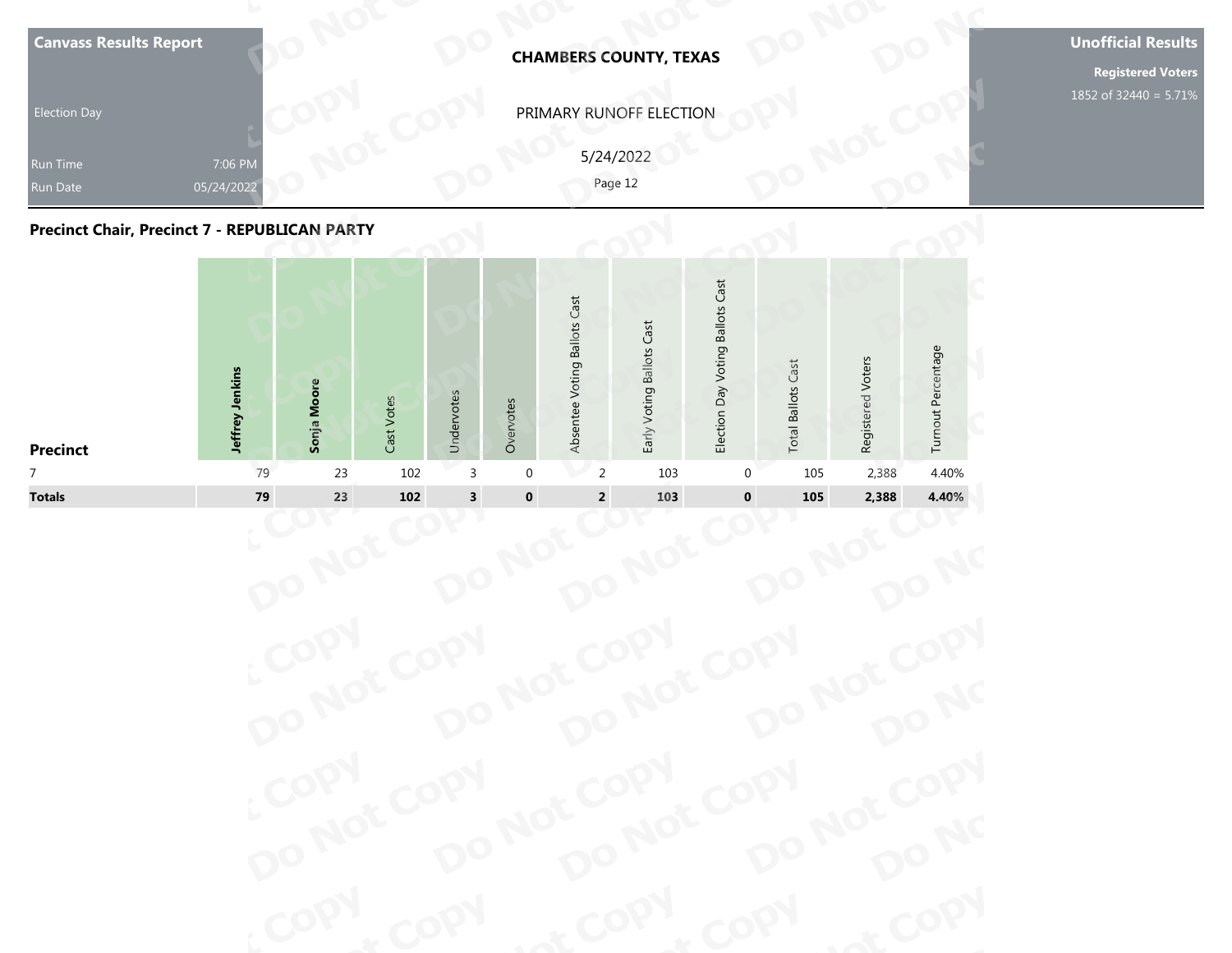| Run Date<br><b>Precinct Chair, Precinct 7 - REPUBLICAN PARTY</b> | 05/24/2022      |             |            |            |           |                              | Page 12                   |                                  |                           |                   |                    |  |
|------------------------------------------------------------------|-----------------|-------------|------------|------------|-----------|------------------------------|---------------------------|----------------------------------|---------------------------|-------------------|--------------------|--|
| <b>Precinct</b>                                                  | Jeffrey Jenkins | Sonja Moore | Cast Votes | Undervotes | Overvotes | Absentee Voting Ballots Cast | Early Voting Ballots Cast | Election Day Voting Ballots Cast | <b>Total Ballots Cast</b> | Registered Voters | Turnout Percentage |  |

| PRIMARY RUNOFF ELECTION<br><b>Election Day</b><br>5/24/2022<br>7:06 PM<br>Run Time<br>Page 12<br>05/24/2022<br>Run Date<br><b>Precinct Chair, Precinct 7 - REPUBLICAN PARTY</b>                                                                                     |
|---------------------------------------------------------------------------------------------------------------------------------------------------------------------------------------------------------------------------------------------------------------------|
|                                                                                                                                                                                                                                                                     |
|                                                                                                                                                                                                                                                                     |
|                                                                                                                                                                                                                                                                     |
| Election Day Voting Ballots Cast<br>Absentee Voting Ballots Cast<br>Early Voting Ballots Cast<br>Turnout Percentage<br>Registered Voters<br><b>Total Ballots Cast</b><br>Jeffrey Jenkins<br>Sonja Moore<br>Undervotes<br>Cast Votes<br>Overvotes<br><b>Precinct</b> |
| 79<br>102<br>2,388<br>4.40%<br>23<br>3<br>$\mathbf{0}$<br>2<br>103<br>105<br>$\overline{7}$<br>0                                                                                                                                                                    |
| <b>Totals</b><br>79<br>23<br>102<br>$\overline{\mathbf{3}}$<br>$\pmb{0}$<br>$\mathbf 0$<br>$\mathbf 2$<br>103<br>105<br>2,388<br>4.40%                                                                                                                              |
|                                                                                                                                                                                                                                                                     |

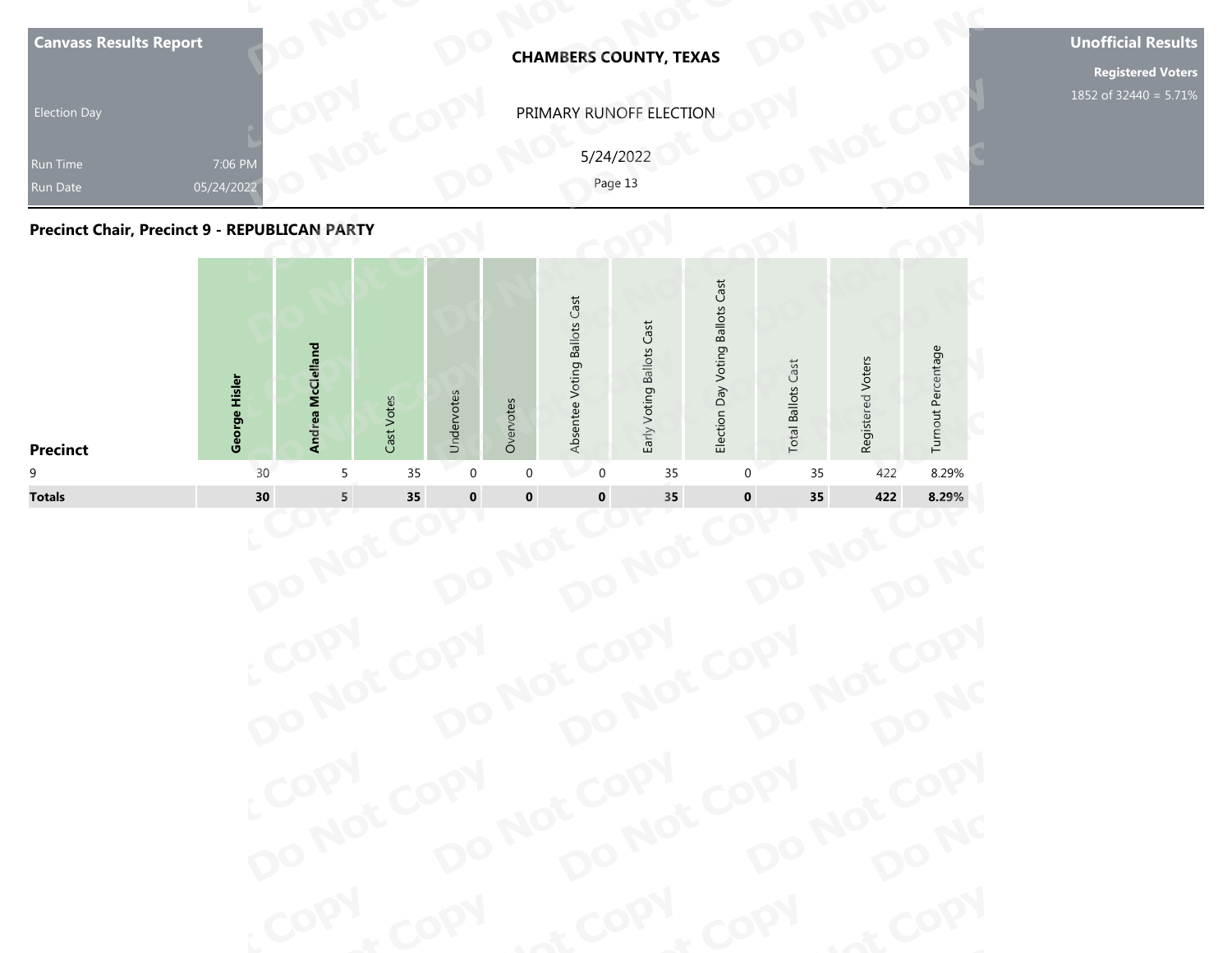| <b>Canvass Results Report</b><br><b>Election Day</b><br>Run Time<br><b>Run Date</b> | 7:06 PM<br>05/24/2022 |                   |            |            |           |                              | <b>CHAMBERS COUNTY, TEXAS</b><br>PRIMARY RUNOFF ELECTION<br>5/24/2022<br>Page 13 |                                  |                           |                   |                    | <b>Unofficial Results</b><br><b>Registered Voters</b><br>1852 of 32440 = 5.71% |
|-------------------------------------------------------------------------------------|-----------------------|-------------------|------------|------------|-----------|------------------------------|----------------------------------------------------------------------------------|----------------------------------|---------------------------|-------------------|--------------------|--------------------------------------------------------------------------------|
| <b>Precinct Chair, Precinct 9 - REPUBLICAN PARTY</b>                                |                       |                   |            |            |           |                              |                                                                                  |                                  |                           |                   |                    |                                                                                |
|                                                                                     | George Hisler         | Andrea McClelland | Cast Votes | Undervotes | Overvotes | Absentee Voting Ballots Cast | Early Voting Ballots Cast                                                        | Election Day Voting Ballots Cast | <b>Total Ballots Cast</b> | Registered Voters | Turnout Percentage |                                                                                |



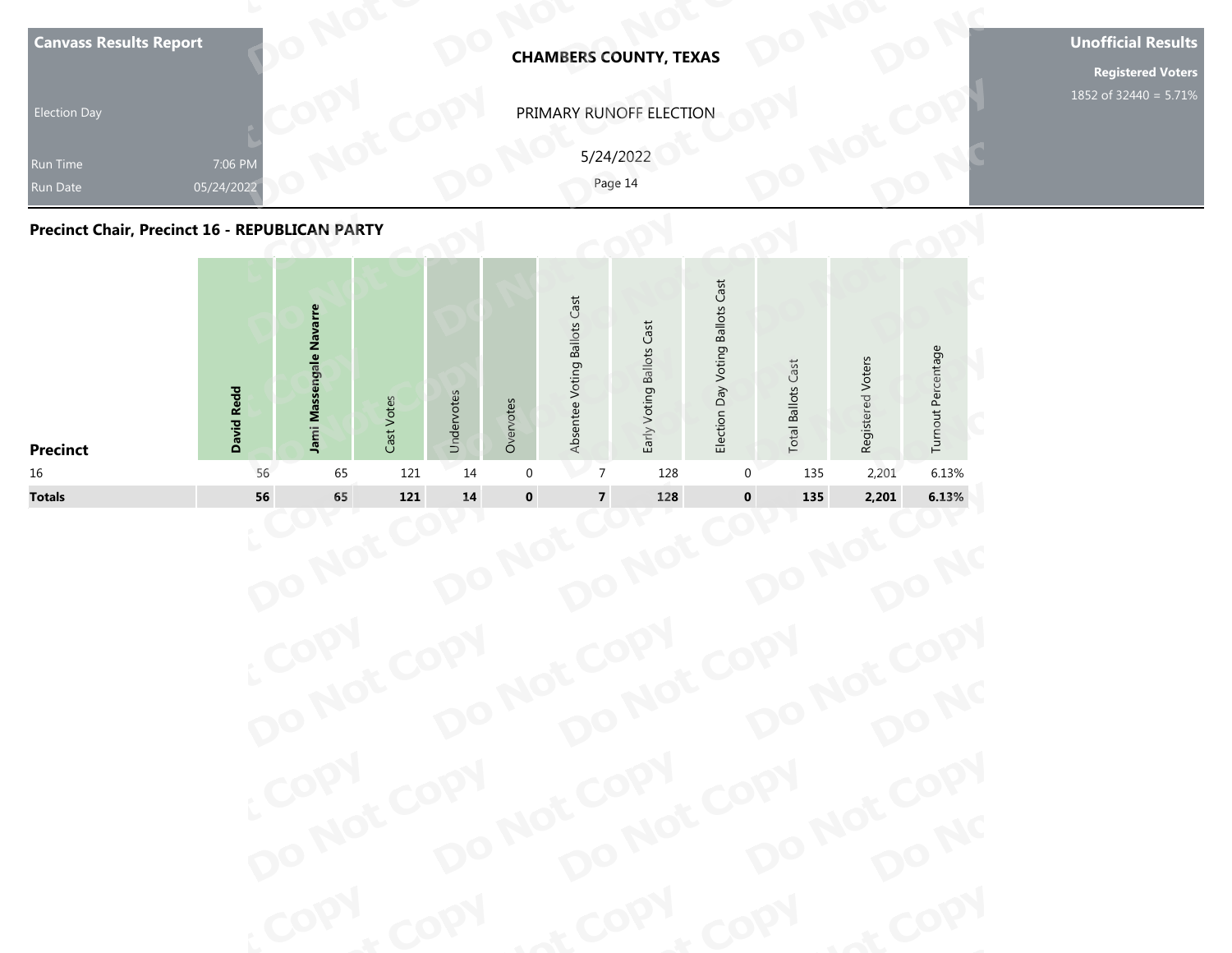| <b>Election Day</b><br>Run Time<br><b>Run Date</b><br><b>Precinct Chair, Precinct 16 - REPUBLICAN PARTY</b> | 7:06 PM<br>05/24/2022 |                         |               |            |           |                              | PRIMARY RUNOFF ELECTION<br>5/24/2022<br>Page 14 |                                  |                           |                   |                    | <b>Registered Voters</b><br>1852 of 32440 = 5.71% |
|-------------------------------------------------------------------------------------------------------------|-----------------------|-------------------------|---------------|------------|-----------|------------------------------|-------------------------------------------------|----------------------------------|---------------------------|-------------------|--------------------|---------------------------------------------------|
| <b>Precinct</b>                                                                                             | <b>David Redd</b>     | Jami Massengale Navarre | Votes<br>Cast | Undervotes | Overvotes | Absentee Voting Ballots Cast | Early Voting Ballots Cast                       | Election Day Voting Ballots Cast | <b>Total Ballots Cast</b> | Registered Voters | Turnout Percentage |                                                   |

| <b>Election Day</b><br>Run Time                |                       |                         |            |            |             |                              | <b>CHAMBERS COUNTY, TEXAS</b> |                                  |                           |                   |                    |
|------------------------------------------------|-----------------------|-------------------------|------------|------------|-------------|------------------------------|-------------------------------|----------------------------------|---------------------------|-------------------|--------------------|
|                                                |                       |                         |            |            |             |                              | PRIMARY RUNOFF ELECTION       |                                  |                           |                   |                    |
| Run Date                                       | 7:06 PM<br>05/24/2022 |                         |            |            |             |                              | 5/24/2022<br>Page 14          |                                  |                           |                   |                    |
| Precinct Chair, Precinct 16 - REPUBLICAN PARTY |                       |                         |            |            |             |                              |                               |                                  |                           |                   |                    |
| <b>Precinct</b>                                | <b>David Redd</b>     | Jami Massengale Navarre | Cast Votes | Undervotes | Overvotes   | Absentee Voting Ballots Cast | Early Voting Ballots Cast     | Election Day Voting Ballots Cast | <b>Total Ballots Cast</b> | Registered Voters | Turnout Percentage |
| 16                                             | 56                    | 65                      | 121        | 14         | $\mathbf 0$ | $\overline{7}$               | 128                           | 0                                | 135                       | 2,201             | 6.13%              |
| <b>Totals</b>                                  | 56                    | 65                      | 121        | ${\bf 14}$ | $\pmb{0}$   | $\overline{\mathbf{7}}$      | 128                           | $\mathbf 0$                      | 135                       | 2,201             | 6.13%              |

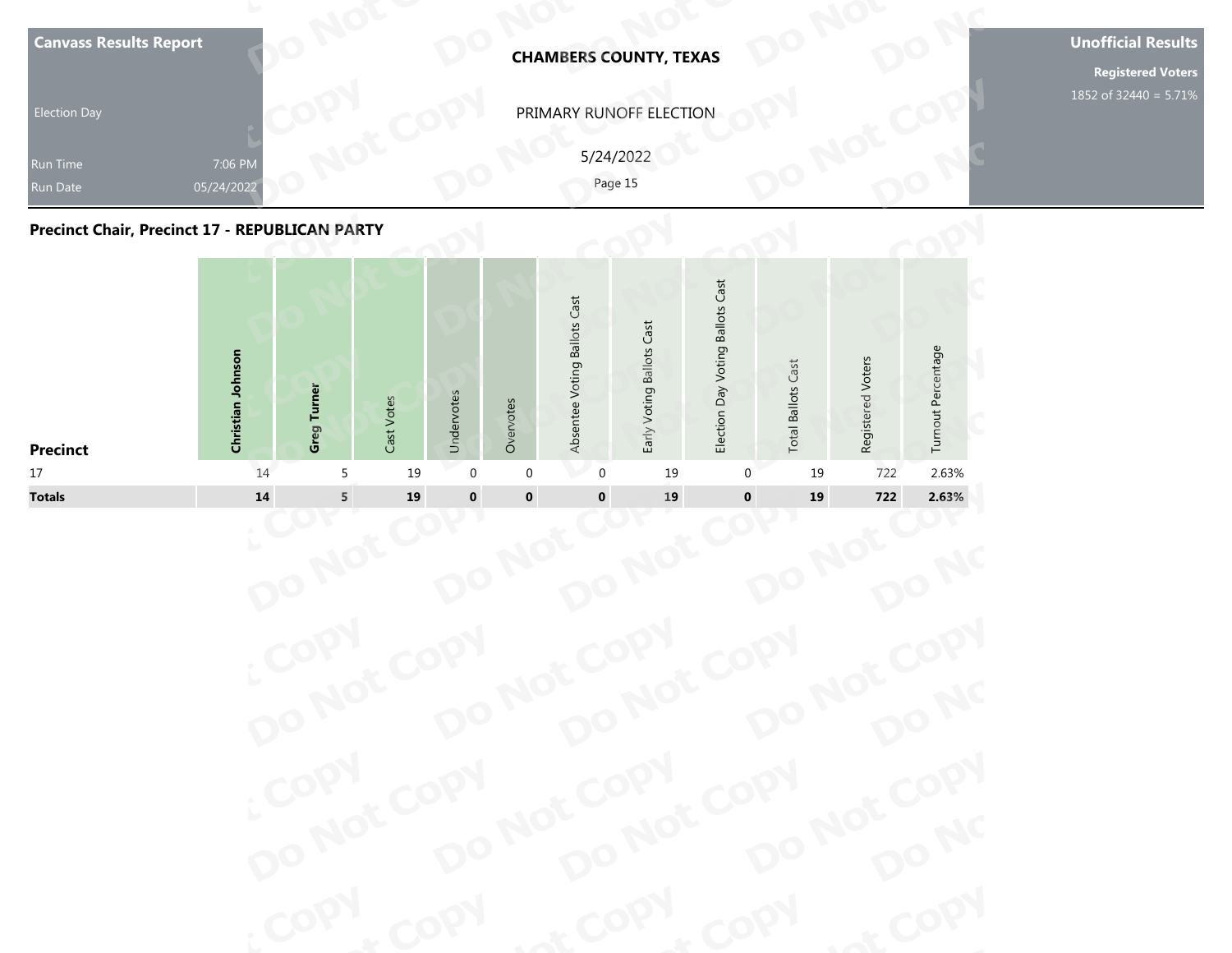| <b>Election Day</b><br>Run Time<br><b>Run Date</b><br><b>Precinct Chair, Precinct 17 - REPUBLICAN PARTY</b> | 7:06 PM<br>05/24/2022 |                    |            |            |           |                              | PRIMARY RUNOFF ELECTION<br>5/24/2022<br>Page 15 |                                  |                           |                   |                    | <b>Registered Voters</b><br>1852 of 32440 = 5.71% |
|-------------------------------------------------------------------------------------------------------------|-----------------------|--------------------|------------|------------|-----------|------------------------------|-------------------------------------------------|----------------------------------|---------------------------|-------------------|--------------------|---------------------------------------------------|
| <b>Precinct</b>                                                                                             | Christian Johnson     | <b>Greg Turner</b> | Cast Votes | Undervotes | Overvotes | Absentee Voting Ballots Cast | Early Voting Ballots Cast                       | Election Day Voting Ballots Cast | <b>Total Ballots Cast</b> | Registered Voters | Turnout Percentage |                                                   |



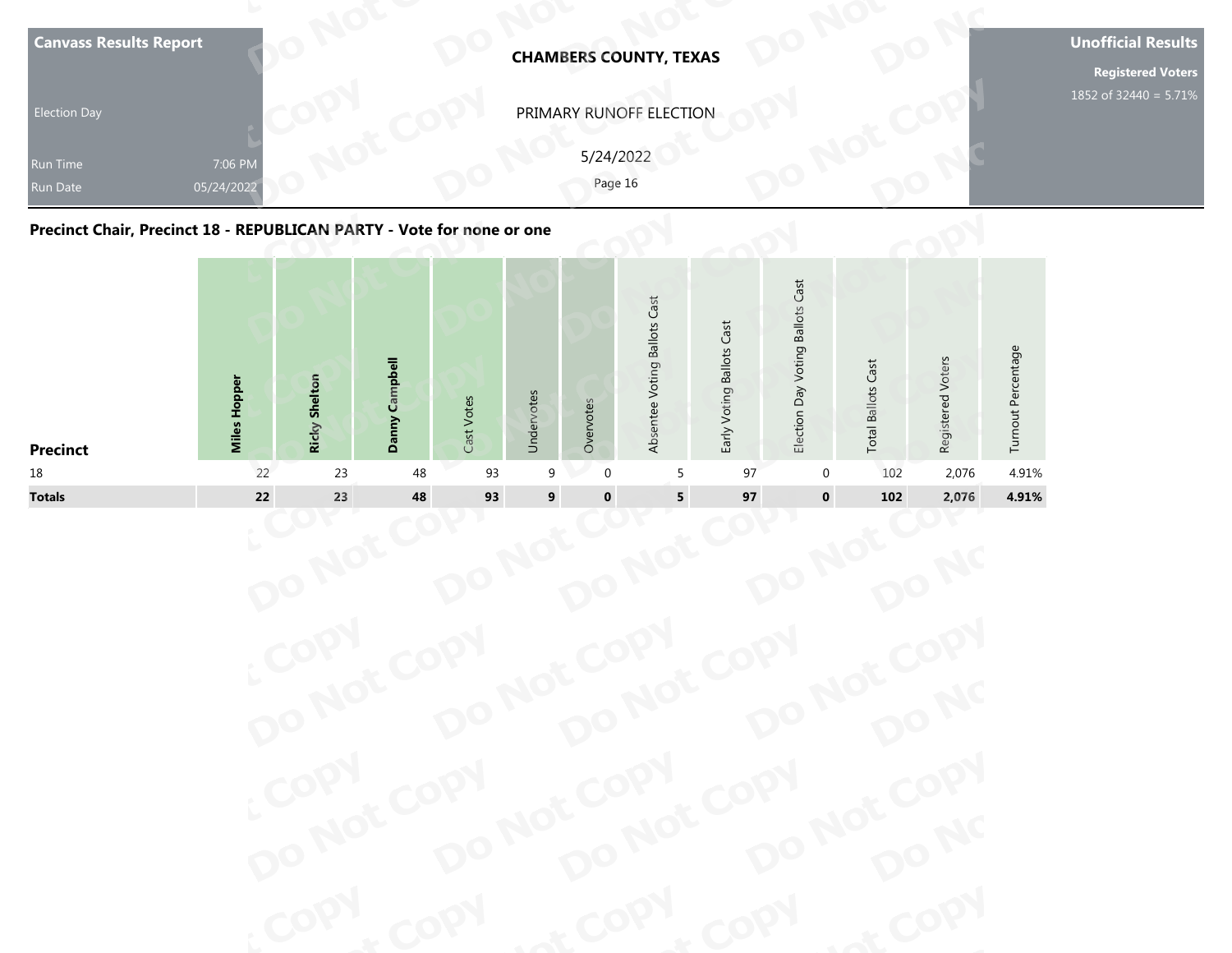| <b>Canvass Results Report</b>                                         | <b>CHAMBERS COUNTY, TEXAS</b>                   | <b>Unofficial Results</b><br><b>Registered Voters</b> |
|-----------------------------------------------------------------------|-------------------------------------------------|-------------------------------------------------------|
| <b>Election Day</b><br>7:06 PM<br>Run Time<br>05/24/2022<br>Run Date  | PRIMARY RUNOFF ELECTION<br>5/24/2022<br>Page 16 | 1852 of 32440 = 5.71%                                 |
| Precinct Chair, Precinct 18 - REPUBLICAN PARTY - Vote for none or one | Cast<br>ast<br>allots<br>ä                      |                                                       |